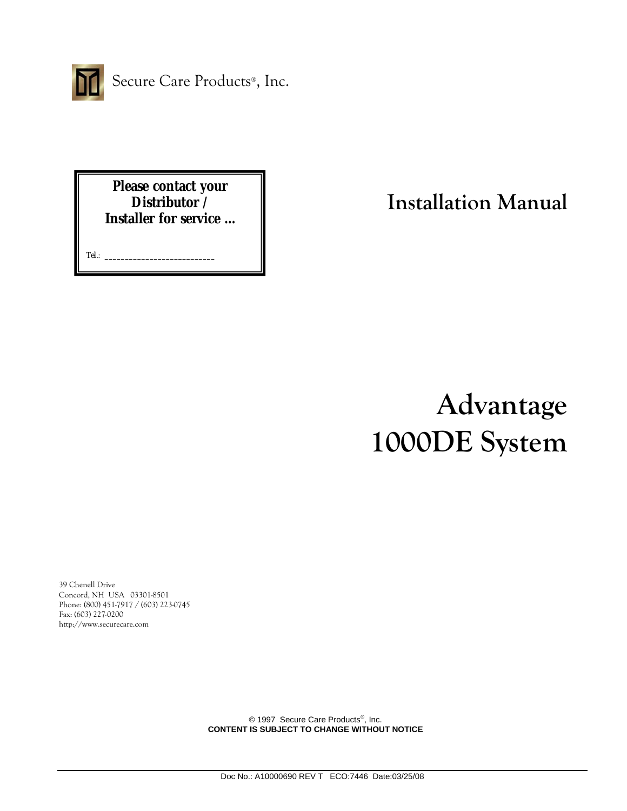

Secure Care Products®, Inc.

**Please contact your Distributor / Installer for service …** 

Tel.: **\_\_\_\_\_\_\_\_\_\_\_\_\_\_\_\_\_\_\_\_\_\_\_\_\_\_\_**

**Installation Manual**

# **Advantage 1000DE System**

39 Chenell Drive Concord, NH USA 03301-8501 Phone: (800) 451-7917 / (603) 223-0745 Fax: (603) 227-0200 http://www.securecare.com

> © 1997 Secure Care Products<sup>®</sup>, Inc. **CONTENT IS SUBJECT TO CHANGE WITHOUT NOTICE**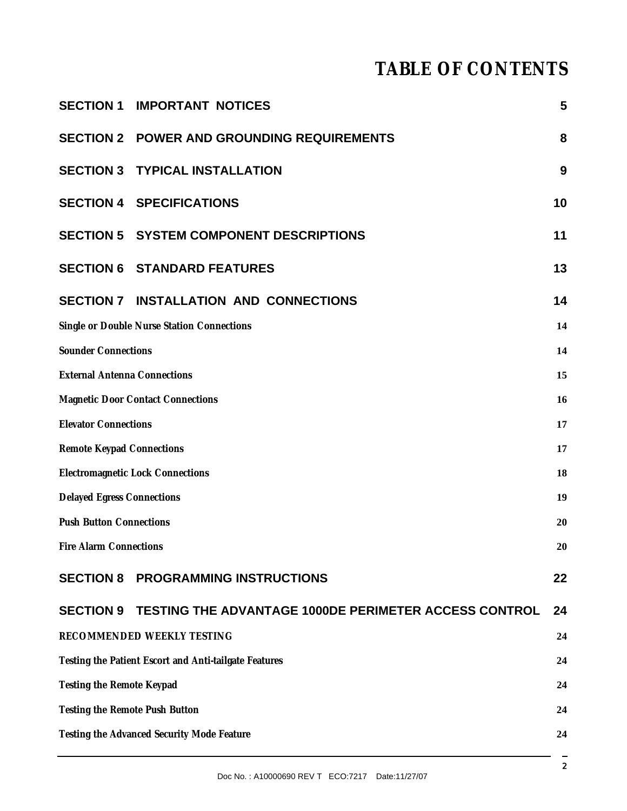## **TABLE OF CONTENTS**

|                                                       | <b>SECTION 1 IMPORTANT NOTICES</b>                           | 5  |
|-------------------------------------------------------|--------------------------------------------------------------|----|
|                                                       | <b>SECTION 2 POWER AND GROUNDING REQUIREMENTS</b>            | 8  |
|                                                       | <b>SECTION 3 TYPICAL INSTALLATION</b>                        | 9  |
|                                                       | <b>SECTION 4 SPECIFICATIONS</b>                              | 10 |
|                                                       | <b>SECTION 5 SYSTEM COMPONENT DESCRIPTIONS</b>               | 11 |
|                                                       | <b>SECTION 6 STANDARD FEATURES</b>                           | 13 |
|                                                       | SECTION 7 INSTALLATION AND CONNECTIONS                       | 14 |
|                                                       | Single or Double Nurse Station Connections                   | 14 |
| <b>Sounder Connections</b>                            |                                                              | 14 |
| <b>External Antenna Connections</b><br>15             |                                                              |    |
| <b>Magnetic Door Contact Connections</b><br>16        |                                                              |    |
| <b>Elevator Connections</b><br>17                     |                                                              |    |
| <b>Remote Keypad Connections</b><br>17                |                                                              |    |
| <b>Electromagnetic Lock Connections</b><br>18         |                                                              |    |
| <b>Delayed Egress Connections</b><br>19               |                                                              |    |
| <b>Push Button Connections</b><br>20                  |                                                              |    |
| <b>Fire Alarm Connections</b><br>20                   |                                                              |    |
|                                                       | <b>SECTION 8 PROGRAMMING INSTRUCTIONS</b>                    | 22 |
| <b>SECTION 9</b>                                      | <b>TESTING THE ADVANTAGE 1000DE PERIMETER ACCESS CONTROL</b> | 24 |
|                                                       | RECOMMENDED WEEKLY TESTING                                   | 24 |
| Testing the Patient Escort and Anti-tailgate Features |                                                              | 24 |
| Testing the Remote Keypad                             |                                                              | 24 |
| Testing the Remote Push Button                        |                                                              | 24 |
| Testing the Advanced Security Mode Feature<br>24      |                                                              |    |
|                                                       |                                                              |    |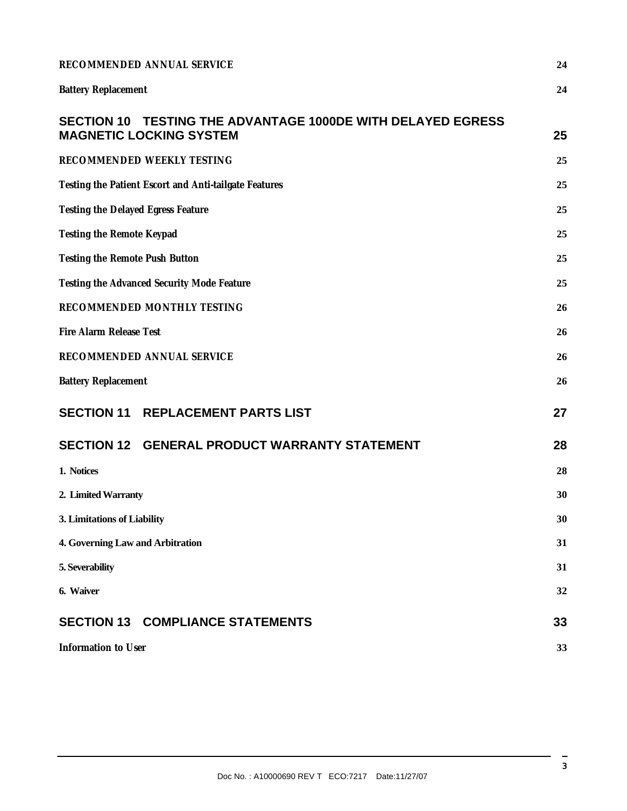| RECOMMENDED ANNUAL SERVICE                                                                    |    |
|-----------------------------------------------------------------------------------------------|----|
| <b>Battery Replacement</b>                                                                    | 24 |
| SECTION 10 TESTING THE ADVANTAGE 1000DE WITH DELAYED EGRESS<br><b>MAGNETIC LOCKING SYSTEM</b> | 25 |
| RECOMMENDED WEEKLY TESTING                                                                    | 25 |
| Testing the Patient Escort and Anti-tailgate Features                                         | 25 |
| Testing the Delayed Egress Feature                                                            |    |
| Testing the Remote Keypad                                                                     |    |
| Testing the Remote Push Button                                                                |    |
| Testing the Advanced Security Mode Feature                                                    |    |
| RECOMMENDED MONTHLY TESTING                                                                   |    |
| Fire Alarm Release Test                                                                       |    |
| RECOMMENDED ANNUAL SERVICE                                                                    |    |
| <b>Battery Replacement</b>                                                                    | 26 |
| <b>SECTION 11 REPLACEMENT PARTS LIST</b>                                                      | 27 |
| SECTION 12 GENERAL PRODUCT WARRANTY STATEMENT                                                 | 28 |
| 1. Notices                                                                                    | 28 |
| 2. Limited Warranty                                                                           | 30 |
| 3. Limitations of Liability                                                                   |    |
| 4. Governing Law and Arbitration                                                              |    |
| 5. Severability                                                                               | 31 |
| 6. Waiver                                                                                     | 32 |
| <b>SECTION 13 COMPLIANCE STATEMENTS</b>                                                       | 33 |
| Information to User                                                                           | 33 |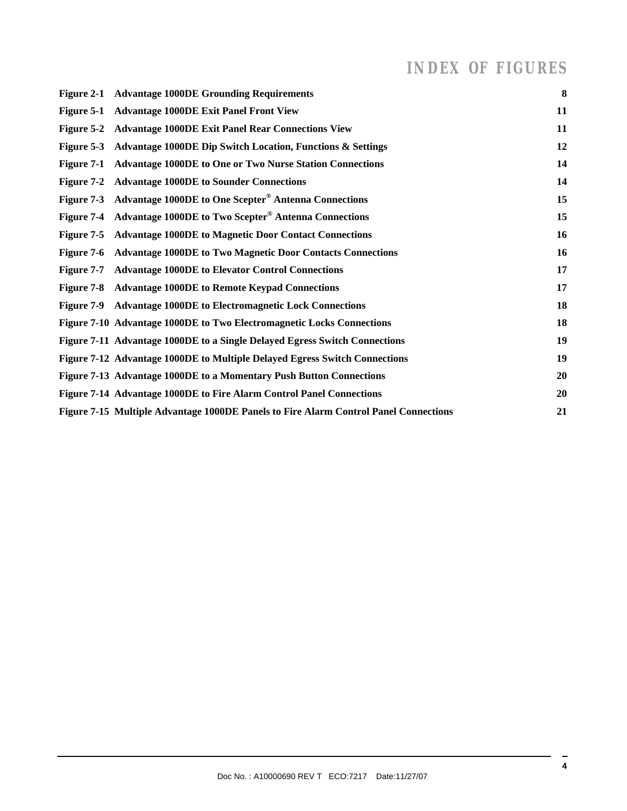### *INDEX OF FIGURES*

| Figure 2-1 Advantage 1000DE Grounding Requirements                                   | $\bf{8}$ |
|--------------------------------------------------------------------------------------|----------|
| Figure 5-1 Advantage 1000DE Exit Panel Front View                                    | 11       |
| Figure 5-2 Advantage 1000DE Exit Panel Rear Connections View                         | 11       |
| Figure 5-3 Advantage 1000DE Dip Switch Location, Functions & Settings                | 12       |
| Figure 7-1 Advantage 1000DE to One or Two Nurse Station Connections                  | 14       |
| Figure 7-2 Advantage 1000DE to Sounder Connections                                   | 14       |
| Figure 7-3 Advantage 1000DE to One Scepter <sup>®</sup> Antenna Connections          | 15       |
| Figure 7-4 Advantage 1000DE to Two Scepter <sup>®</sup> Antenna Connections          | 15       |
| Figure 7-5 Advantage 1000DE to Magnetic Door Contact Connections                     | 16       |
| Figure 7-6 Advantage 1000DE to Two Magnetic Door Contacts Connections                | 16       |
| Figure 7-7 Advantage 1000DE to Elevator Control Connections                          | 17       |
| Figure 7-8 Advantage 1000DE to Remote Keypad Connections                             | 17       |
| Figure 7-9 Advantage 1000DE to Electromagnetic Lock Connections                      | 18       |
| Figure 7-10 Advantage 1000DE to Two Electromagnetic Locks Connections                | 18       |
| Figure 7-11 Advantage 1000DE to a Single Delayed Egress Switch Connections           | 19       |
| Figure 7-12 Advantage 1000DE to Multiple Delayed Egress Switch Connections           | 19       |
| Figure 7-13 Advantage 1000DE to a Momentary Push Button Connections                  | 20       |
| Figure 7-14 Advantage 1000DE to Fire Alarm Control Panel Connections                 | 20       |
| Figure 7-15 Multiple Advantage 1000DE Panels to Fire Alarm Control Panel Connections | 21       |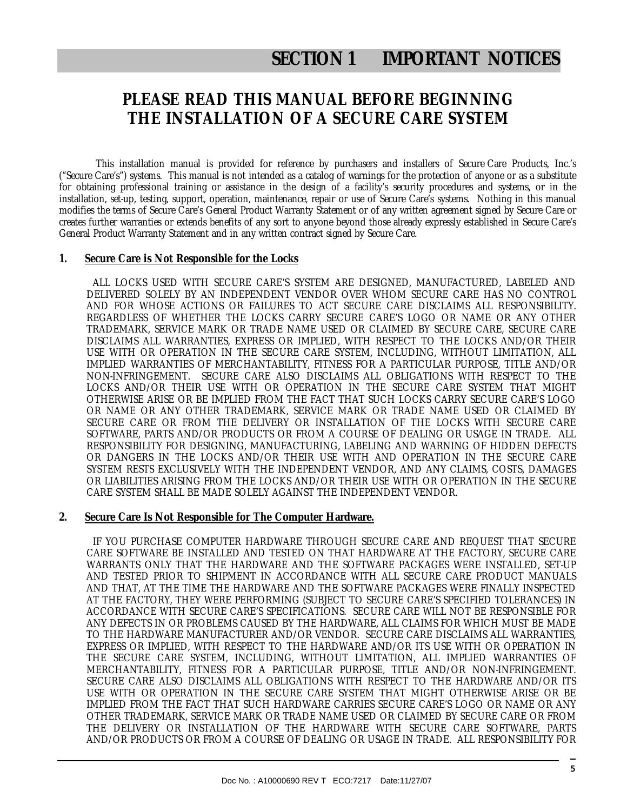### **SECTION 1 IMPORTANT NOTICES**

### **PLEASE READ THIS MANUAL BEFORE BEGINNING THE INSTALLATION OF A SECURE CARE SYSTEM**

This installation manual is provided for reference by purchasers and installers of Secure Care Products, Inc.'s ("Secure Care's") systems. This manual is not intended as a catalog of warnings for the protection of anyone or as a substitute for obtaining professional training or assistance in the design of a facility's security procedures and systems, or in the installation, set-up, testing, support, operation, maintenance, repair or use of Secure Care's systems. Nothing in this manual modifies the terms of Secure Care's General Product Warranty Statement or of any written agreement signed by Secure Care or creates further warranties or extends benefits of any sort to anyone beyond those already expressly established in Secure Care's General Product Warranty Statement and in any written contract signed by Secure Care.

#### **1. Secure Care is Not Responsible for the Locks**

 ALL LOCKS USED WITH SECURE CARE'S SYSTEM ARE DESIGNED, MANUFACTURED, LABELED AND DELIVERED SOLELY BY AN INDEPENDENT VENDOR OVER WHOM SECURE CARE HAS NO CONTROL AND FOR WHOSE ACTIONS OR FAILURES TO ACT SECURE CARE DISCLAIMS ALL RESPONSIBILITY. REGARDLESS OF WHETHER THE LOCKS CARRY SECURE CARE'S LOGO OR NAME OR ANY OTHER TRADEMARK, SERVICE MARK OR TRADE NAME USED OR CLAIMED BY SECURE CARE, SECURE CARE DISCLAIMS ALL WARRANTIES, EXPRESS OR IMPLIED, WITH RESPECT TO THE LOCKS AND/OR THEIR USE WITH OR OPERATION IN THE SECURE CARE SYSTEM, INCLUDING, WITHOUT LIMITATION, ALL IMPLIED WARRANTIES OF MERCHANTABILITY, FITNESS FOR A PARTICULAR PURPOSE, TITLE AND/OR NON-INFRINGEMENT. SECURE CARE ALSO DISCLAIMS ALL OBLIGATIONS WITH RESPECT TO THE LOCKS AND/OR THEIR USE WITH OR OPERATION IN THE SECURE CARE SYSTEM THAT MIGHT OTHERWISE ARISE OR BE IMPLIED FROM THE FACT THAT SUCH LOCKS CARRY SECURE CARE'S LOGO OR NAME OR ANY OTHER TRADEMARK, SERVICE MARK OR TRADE NAME USED OR CLAIMED BY SECURE CARE OR FROM THE DELIVERY OR INSTALLATION OF THE LOCKS WITH SECURE CARE SOFTWARE, PARTS AND/OR PRODUCTS OR FROM A COURSE OF DEALING OR USAGE IN TRADE. ALL RESPONSIBILITY FOR DESIGNING, MANUFACTURING, LABELING AND WARNING OF HIDDEN DEFECTS OR DANGERS IN THE LOCKS AND/OR THEIR USE WITH AND OPERATION IN THE SECURE CARE SYSTEM RESTS EXCLUSIVELY WITH THE INDEPENDENT VENDOR, AND ANY CLAIMS, COSTS, DAMAGES OR LIABILITIES ARISING FROM THE LOCKS AND/OR THEIR USE WITH OR OPERATION IN THE SECURE CARE SYSTEM SHALL BE MADE SOLELY AGAINST THE INDEPENDENT VENDOR.

#### **2. Secure Care Is Not Responsible for The Computer Hardware.**

 IF YOU PURCHASE COMPUTER HARDWARE THROUGH SECURE CARE AND REQUEST THAT SECURE CARE SOFTWARE BE INSTALLED AND TESTED ON THAT HARDWARE AT THE FACTORY, SECURE CARE WARRANTS ONLY THAT THE HARDWARE AND THE SOFTWARE PACKAGES WERE INSTALLED, SET-UP AND TESTED PRIOR TO SHIPMENT IN ACCORDANCE WITH ALL SECURE CARE PRODUCT MANUALS AND THAT, AT THE TIME THE HARDWARE AND THE SOFTWARE PACKAGES WERE FINALLY INSPECTED AT THE FACTORY, THEY WERE PERFORMING (SUBJECT TO SECURE CARE'S SPECIFIED TOLERANCES) IN ACCORDANCE WITH SECURE CARE'S SPECIFICATIONS. SECURE CARE WILL NOT BE RESPONSIBLE FOR ANY DEFECTS IN OR PROBLEMS CAUSED BY THE HARDWARE, ALL CLAIMS FOR WHICH MUST BE MADE TO THE HARDWARE MANUFACTURER AND/OR VENDOR. SECURE CARE DISCLAIMS ALL WARRANTIES, EXPRESS OR IMPLIED, WITH RESPECT TO THE HARDWARE AND/OR ITS USE WITH OR OPERATION IN THE SECURE CARE SYSTEM, INCLUDING, WITHOUT LIMITATION, ALL IMPLIED WARRANTIES OF MERCHANTABILITY, FITNESS FOR A PARTICULAR PURPOSE, TITLE AND/OR NON-INFRINGEMENT. SECURE CARE ALSO DISCLAIMS ALL OBLIGATIONS WITH RESPECT TO THE HARDWARE AND/OR ITS USE WITH OR OPERATION IN THE SECURE CARE SYSTEM THAT MIGHT OTHERWISE ARISE OR BE IMPLIED FROM THE FACT THAT SUCH HARDWARE CARRIES SECURE CARE'S LOGO OR NAME OR ANY OTHER TRADEMARK, SERVICE MARK OR TRADE NAME USED OR CLAIMED BY SECURE CARE OR FROM THE DELIVERY OR INSTALLATION OF THE HARDWARE WITH SECURE CARE SOFTWARE, PARTS AND/OR PRODUCTS OR FROM A COURSE OF DEALING OR USAGE IN TRADE. ALL RESPONSIBILITY FOR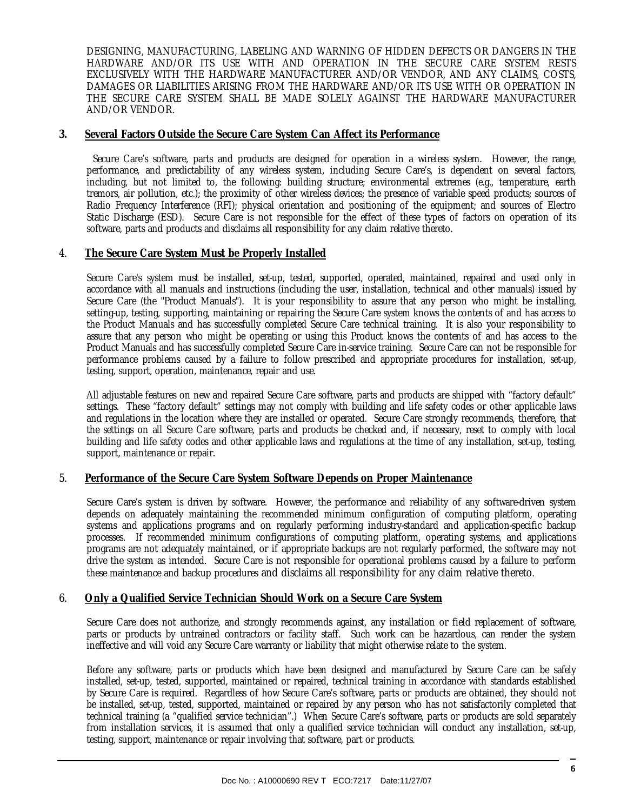DESIGNING, MANUFACTURING, LABELING AND WARNING OF HIDDEN DEFECTS OR DANGERS IN THE HARDWARE AND/OR ITS USE WITH AND OPERATION IN THE SECURE CARE SYSTEM RESTS EXCLUSIVELY WITH THE HARDWARE MANUFACTURER AND/OR VENDOR, AND ANY CLAIMS, COSTS, DAMAGES OR LIABILITIES ARISING FROM THE HARDWARE AND/OR ITS USE WITH OR OPERATION IN THE SECURE CARE SYSTEM SHALL BE MADE SOLELY AGAINST THE HARDWARE MANUFACTURER AND/OR VENDOR.

#### **3. Several Factors Outside the Secure Care System Can Affect its Performance**

 Secure Care's software, parts and products are designed for operation in a wireless system. However, the range, performance, and predictability of any wireless system, including Secure Care's, is dependent on several factors, including, but not limited to, the following: building structure; environmental extremes (e.g., temperature, earth tremors, air pollution, etc.); the proximity of other wireless devices; the presence of variable speed products; sources of Radio Frequency Interference (RFI); physical orientation and positioning of the equipment; and sources of Electro Static Discharge (ESD). Secure Care is not responsible for the effect of these types of factors on operation of its software, parts and products and disclaims all responsibility for any claim relative thereto.

#### 4. **The Secure Care System Must be Properly Installed**

Secure Care's system must be installed, set-up, tested, supported, operated, maintained, repaired and used only in accordance with all manuals and instructions (including the user, installation, technical and other manuals) issued by Secure Care (the "Product Manuals"). It is your responsibility to assure that any person who might be installing, setting-up, testing, supporting, maintaining or repairing the Secure Care system knows the contents of and has access to the Product Manuals and has successfully completed Secure Care technical training. It is also your responsibility to assure that any person who might be operating or using this Product knows the contents of and has access to the Product Manuals and has successfully completed Secure Care in-service training. Secure Care can not be responsible for performance problems caused by a failure to follow prescribed and appropriate procedures for installation, set-up, testing, support, operation, maintenance, repair and use.

All adjustable features on new and repaired Secure Care software, parts and products are shipped with "factory default" settings. These "factory default" settings may not comply with building and life safety codes or other applicable laws and regulations in the location where they are installed or operated. Secure Care strongly recommends, therefore, that the settings on all Secure Care software, parts and products be checked and, if necessary, reset to comply with local building and life safety codes and other applicable laws and regulations at the time of any installation, set-up, testing, support, maintenance or repair.

#### 5. **Performance of the Secure Care System Software Depends on Proper Maintenance**

Secure Care's system is driven by software. However, the performance and reliability of any software-driven system depends on adequately maintaining the recommended minimum configuration of computing platform, operating systems and applications programs and on regularly performing industry-standard and application-specific backup processes. If recommended minimum configurations of computing platform, operating systems, and applications programs are not adequately maintained, or if appropriate backups are not regularly performed, the software may not drive the system as intended. Secure Care is not responsible for operational problems caused by a failure to perform these maintenance and backup procedures and disclaims all responsibility for any claim relative thereto.

#### 6. **Only a Qualified Service Technician Should Work on a Secure Care System**

Secure Care does not authorize, and strongly recommends against, any installation or field replacement of software, parts or products by untrained contractors or facility staff. Such work can be hazardous, can render the system ineffective and will void any Secure Care warranty or liability that might otherwise relate to the system.

Before any software, parts or products which have been designed and manufactured by Secure Care can be safely installed, set-up, tested, supported, maintained or repaired, technical training in accordance with standards established by Secure Care is required. Regardless of how Secure Care's software, parts or products are obtained, they should not be installed, set-up, tested, supported, maintained or repaired by any person who has not satisfactorily completed that technical training (a "qualified service technician".) When Secure Care's software, parts or products are sold separately from installation services, it is assumed that only a qualified service technician will conduct any installation, set-up, testing, support, maintenance or repair involving that software, part or products.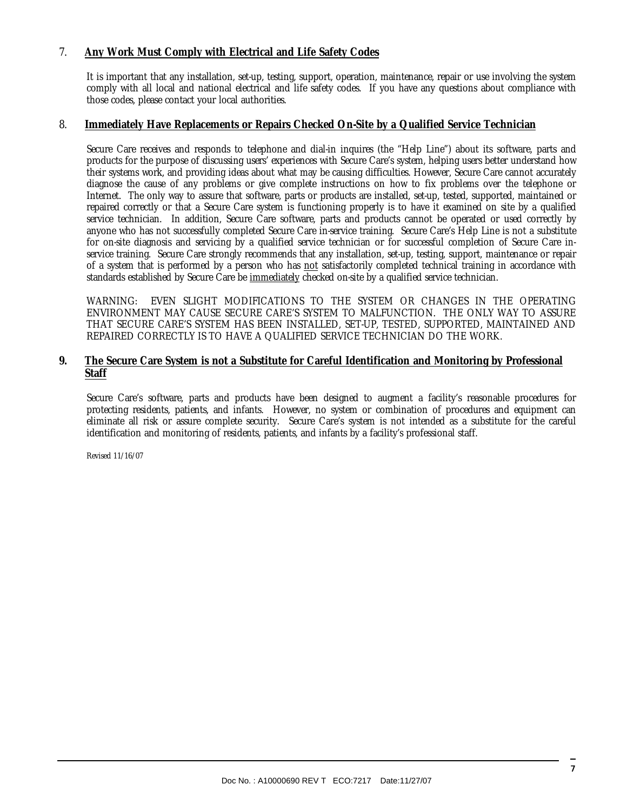#### 7. **Any Work Must Comply with Electrical and Life Safety Codes**

It is important that any installation, set-up, testing, support, operation, maintenance, repair or use involving the system comply with all local and national electrical and life safety codes. If you have any questions about compliance with those codes, please contact your local authorities.

#### 8. **Immediately Have Replacements or Repairs Checked On-Site by a Qualified Service Technician**

Secure Care receives and responds to telephone and dial-in inquires (the "Help Line") about its software, parts and products for the purpose of discussing users' experiences with Secure Care's system, helping users better understand how their systems work, and providing ideas about what may be causing difficulties. However, Secure Care cannot accurately diagnose the cause of any problems or give complete instructions on how to fix problems over the telephone or Internet. The only way to assure that software, parts or products are installed, set-up, tested, supported, maintained or repaired correctly or that a Secure Care system is functioning properly is to have it examined on site by a qualified service technician. In addition, Secure Care software, parts and products cannot be operated or used correctly by anyone who has not successfully completed Secure Care in-service training. Secure Care's Help Line is not a substitute for on-site diagnosis and servicing by a qualified service technician or for successful completion of Secure Care inservice training. Secure Care strongly recommends that any installation, set-up, testing, support, maintenance or repair of a system that is performed by a person who has not satisfactorily completed technical training in accordance with standards established by Secure Care be immediately checked on-site by a qualified service technician.

WARNING: EVEN SLIGHT MODIFICATIONS TO THE SYSTEM OR CHANGES IN THE OPERATING ENVIRONMENT MAY CAUSE SECURE CARE'S SYSTEM TO MALFUNCTION. THE ONLY WAY TO ASSURE THAT SECURE CARE'S SYSTEM HAS BEEN INSTALLED, SET-UP, TESTED, SUPPORTED, MAINTAINED AND REPAIRED CORRECTLY IS TO HAVE A QUALIFIED SERVICE TECHNICIAN DO THE WORK.

#### **9. The Secure Care System is not a Substitute for Careful Identification and Monitoring by Professional Staff**

Secure Care's software, parts and products have been designed to augment a facility's reasonable procedures for protecting residents, patients, and infants. However, no system or combination of procedures and equipment can eliminate all risk or assure complete security. Secure Care's system is not intended as a substitute for the careful identification and monitoring of residents, patients, and infants by a facility's professional staff.

Revised 11/16/07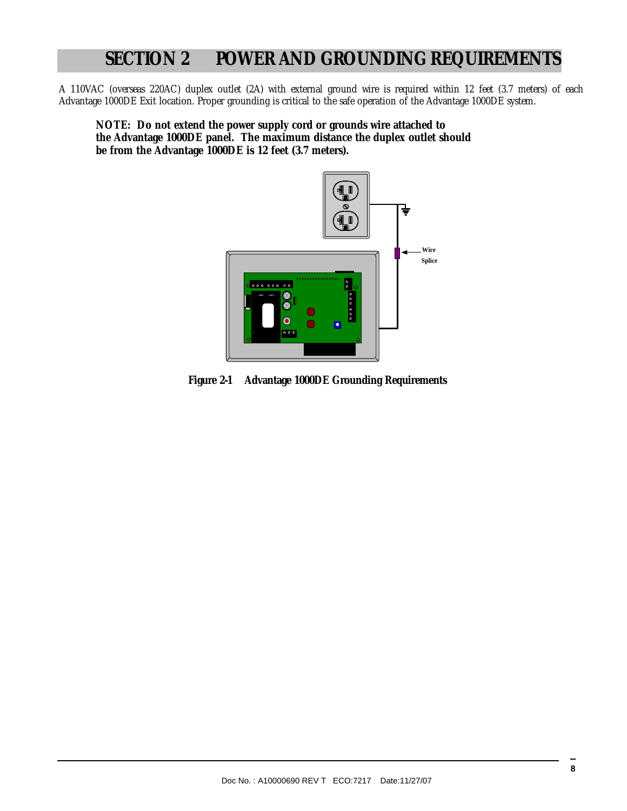### **SECTION 2 POWER AND GROUNDING REQUIREMENTS**

A 110VAC (overseas 220AC) duplex outlet (2A) with external ground wire is required within 12 feet (3.7 meters) of each Advantage 1000DE Exit location. Proper grounding is critical to the safe operation of the Advantage 1000DE system.

**NOTE: Do not extend the power supply cord or grounds wire attached to the Advantage 1000DE panel. The maximum distance the duplex outlet should be from the Advantage 1000DE is 12 feet (3.7 meters).** 



**Figure 2-1 Advantage 1000DE Grounding Requirements**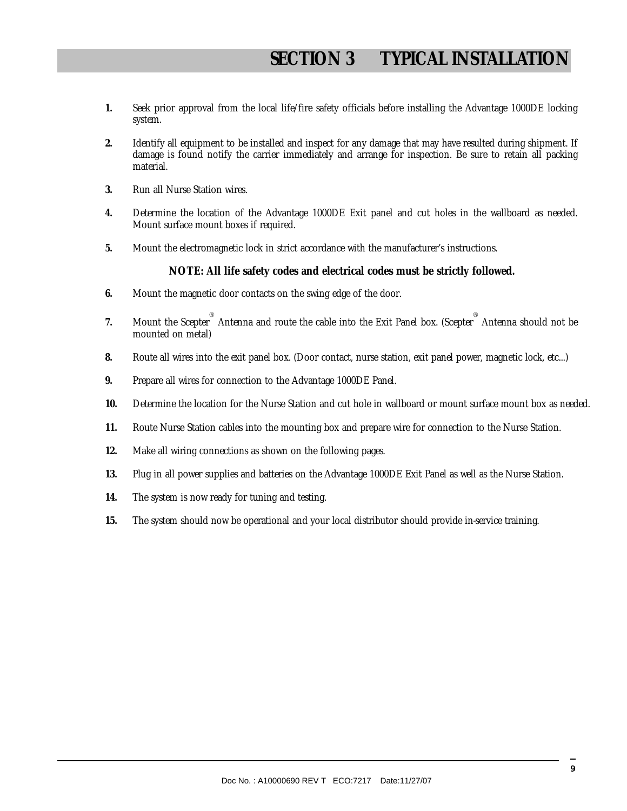- **1.** Seek prior approval from the local life/fire safety officials before installing the Advantage 1000DE locking system.
- **2.** Identify all equipment to be installed and inspect for any damage that may have resulted during shipment. If damage is found notify the carrier immediately and arrange for inspection. Be sure to retain all packing material.
- **3.** Run all Nurse Station wires.
- **4.** Determine the location of the Advantage 1000DE Exit panel and cut holes in the wallboard as needed. Mount surface mount boxes if required.
- **5.** Mount the electromagnetic lock in strict accordance with the manufacturer's instructions.

#### **NOTE: All life safety codes and electrical codes must be strictly followed.**

- **6.** Mount the magnetic door contacts on the swing edge of the door.
- 7. Mount the Scepter<sup>®</sup> Antenna and route the cable into the Exit Panel box. (Scepter<sup>®</sup> Antenna should not be mounted on metal)
- **8.** Route all wires into the exit panel box. (Door contact, nurse station, exit panel power, magnetic lock, etc...)
- **9.** Prepare all wires for connection to the Advantage 1000DE Panel.
- **10.** Determine the location for the Nurse Station and cut hole in wallboard or mount surface mount box as needed.
- **11.** Route Nurse Station cables into the mounting box and prepare wire for connection to the Nurse Station.
- **12.** Make all wiring connections as shown on the following pages.
- **13.** Plug in all power supplies and batteries on the Advantage 1000DE Exit Panel as well as the Nurse Station.
- **14.** The system is now ready for tuning and testing.
- **15.** The system should now be operational and your local distributor should provide in-service training.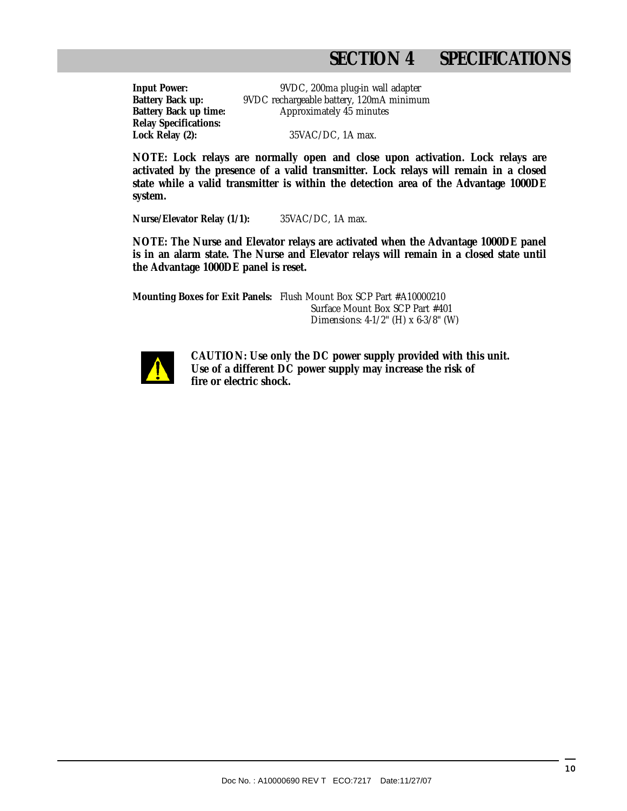### **SECTION 4 SPECIFICATIONS**

**Relay Specifications:**

**Input Power:** 9VDC, 200ma plug-in wall adapter **Battery Back up:** 9VDC rechargeable battery, 120mA minimum **Battery Back up time:** Approximately 45 minutes

**Lock Relay (2):** 35VAC/DC, 1A max.

**NOTE: Lock relays are normally open and close upon activation. Lock relays are activated by the presence of a valid transmitter. Lock relays will remain in a closed state while a valid transmitter is within the detection area of the Advantage 1000DE system.** 

**Nurse/Elevator Relay (1/1):** 35VAC/DC, 1A max.

**NOTE: The Nurse and Elevator relays are activated when the Advantage 1000DE panel is in an alarm state. The Nurse and Elevator relays will remain in a closed state until the Advantage 1000DE panel is reset.** 

**Mounting Boxes for Exit Panels:** Flush Mount Box SCP Part #A10000210 Surface Mount Box SCP Part #401 Dimensions: 4-1/2" (H) x 6-3/8" (W)



 **CAUTION: Use only the DC power supply provided with this unit. Use of a different DC power supply may increase the risk of fire or electric shock.**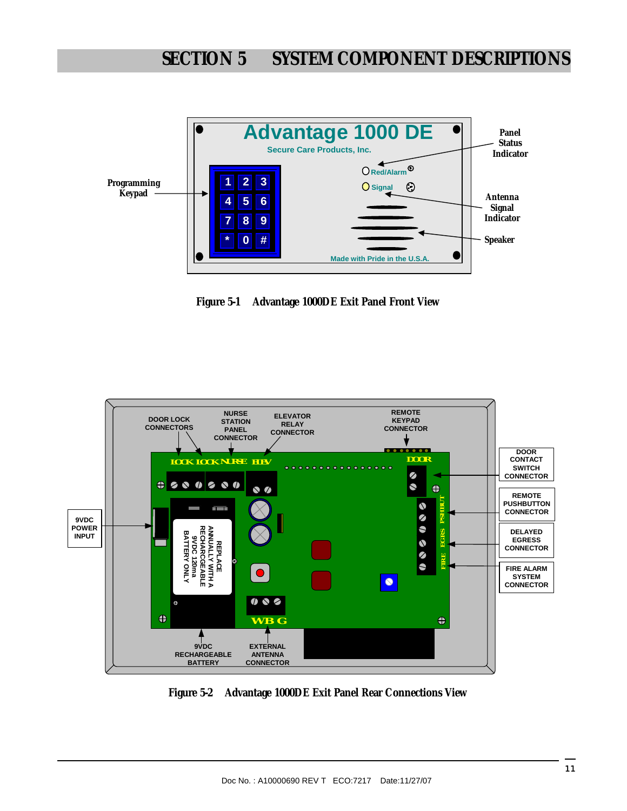

**Figure 5-1 Advantage 1000DE Exit Panel Front View** 



**Figure 5-2 Advantage 1000DE Exit Panel Rear Connections View**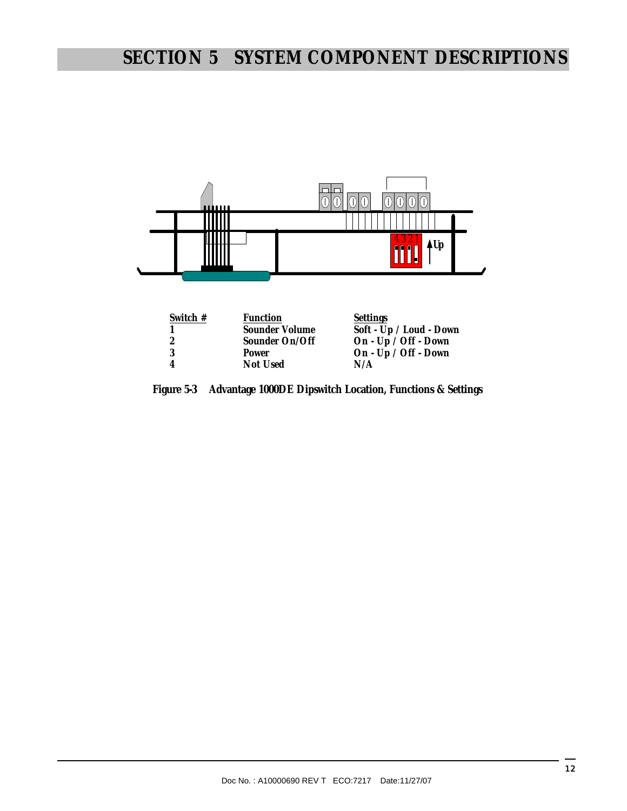## **SECTION 5 SYSTEM COMPONENT DESCRIPTIONS**



| Switch $#$ | <b>Function</b> | Settings                |
|------------|-----------------|-------------------------|
|            | Sounder Volume  | Soft - Up / Loud - Down |
|            | Sounder On/Off  | On - Up / Off - Down    |
|            | Power           | On - Up / Off - Down    |
|            | Not Used        | N/A                     |
|            |                 |                         |

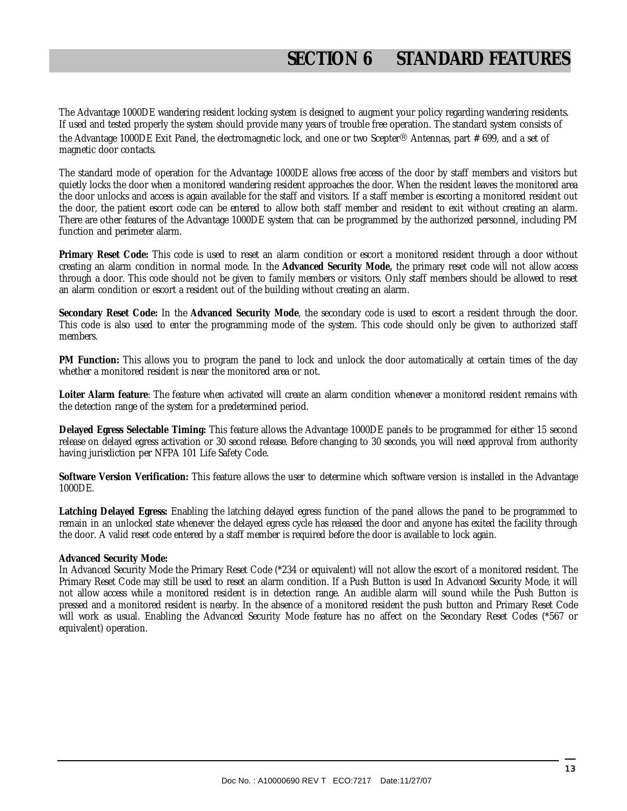The Advantage 1000DE wandering resident locking system is designed to augment your policy regarding wandering residents. If used and tested properly the system should provide many years of trouble free operation. The standard system consists of the Advantage 1000DE Exit Panel, the electromagnetic lock, and one or two Scepter® Antennas, part # 699, and a set of magnetic door contacts.

The standard mode of operation for the Advantage 1000DE allows free access of the door by staff members and visitors but quietly locks the door when a monitored wandering resident approaches the door. When the resident leaves the monitored area the door unlocks and access is again available for the staff and visitors. If a staff member is escorting a monitored resident out the door, the patient escort code can be entered to allow both staff member and resident to exit without creating an alarm. There are other features of the Advantage 1000DE system that can be programmed by the authorized personnel, including PM function and perimeter alarm.

**Primary Reset Code:** This code is used to reset an alarm condition or escort a monitored resident through a door without creating an alarm condition in normal mode. In the **Advanced Security Mode,** the primary reset code will not allow access through a door. This code should not be given to family members or visitors. Only staff members should be allowed to reset an alarm condition or escort a resident out of the building without creating an alarm.

**Secondary Reset Code:** In the **Advanced Security Mode**, the secondary code is used to escort a resident through the door. This code is also used to enter the programming mode of the system. This code should only be given to authorized staff members.

**PM Function:** This allows you to program the panel to lock and unlock the door automatically at certain times of the day whether a monitored resident is near the monitored area or not.

**Loiter Alarm feature**: The feature when activated will create an alarm condition whenever a monitored resident remains with the detection range of the system for a predetermined period.

**Delayed Egress Selectable Timing:** This feature allows the Advantage 1000DE panels to be programmed for either 15 second release on delayed egress activation or 30 second release. Before changing to 30 seconds, you will need approval from authority having jurisdiction per NFPA 101 Life Safety Code.

**Software Version Verification:** This feature allows the user to determine which software version is installed in the Advantage 1000DE.

**Latching Delayed Egress:** Enabling the latching delayed egress function of the panel allows the panel to be programmed to remain in an unlocked state whenever the delayed egress cycle has released the door and anyone has exited the facility through the door. A valid reset code entered by a staff member is required before the door is available to lock again.

#### **Advanced Security Mode:**

In Advanced Security Mode the Primary Reset Code (\*234 or equivalent) will not allow the escort of a monitored resident. The Primary Reset Code may still be used to reset an alarm condition. If a Push Button is used In Advanced Security Mode, it will not allow access while a monitored resident is in detection range. An audible alarm will sound while the Push Button is pressed and a monitored resident is nearby. In the absence of a monitored resident the push button and Primary Reset Code will work as usual. Enabling the Advanced Security Mode feature has no affect on the Secondary Reset Codes (\*567 or equivalent) operation.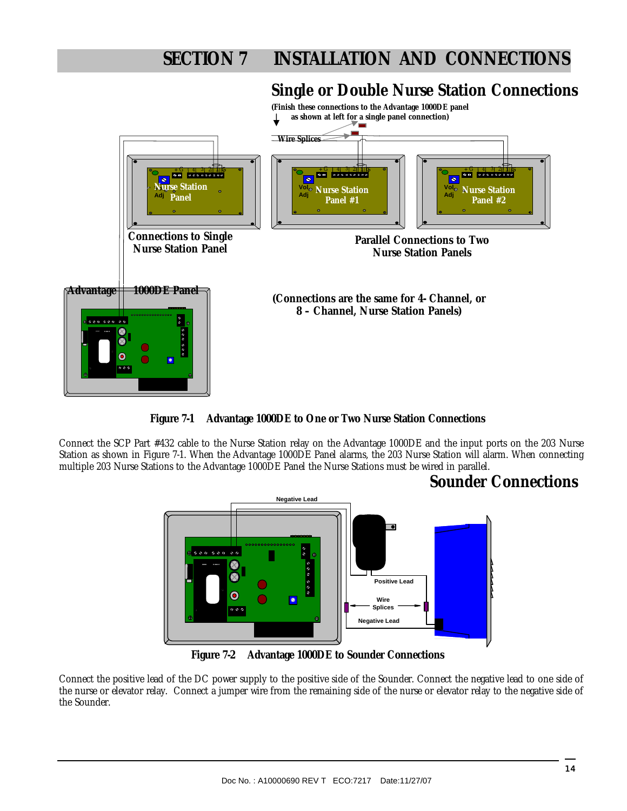### **Single or Double Nurse Station Connections**



**Figure 7-1 Advantage 1000DE to One or Two Nurse Station Connections**

Connect the SCP Part #432 cable to the Nurse Station relay on the Advantage 1000DE and the input ports on the 203 Nurse Station as shown in Figure 7-1. When the Advantage 1000DE Panel alarms, the 203 Nurse Station will alarm. When connecting multiple 203 Nurse Stations to the Advantage 1000DE Panel the Nurse Stations must be wired in parallel.

### **Sounder Connections**



**Figure 7-2 Advantage 1000DE to Sounder Connections** 

Connect the positive lead of the DC power supply to the positive side of the Sounder. Connect the negative lead to one side of the nurse or elevator relay. Connect a jumper wire from the remaining side of the nurse or elevator relay to the negative side of the Sounder.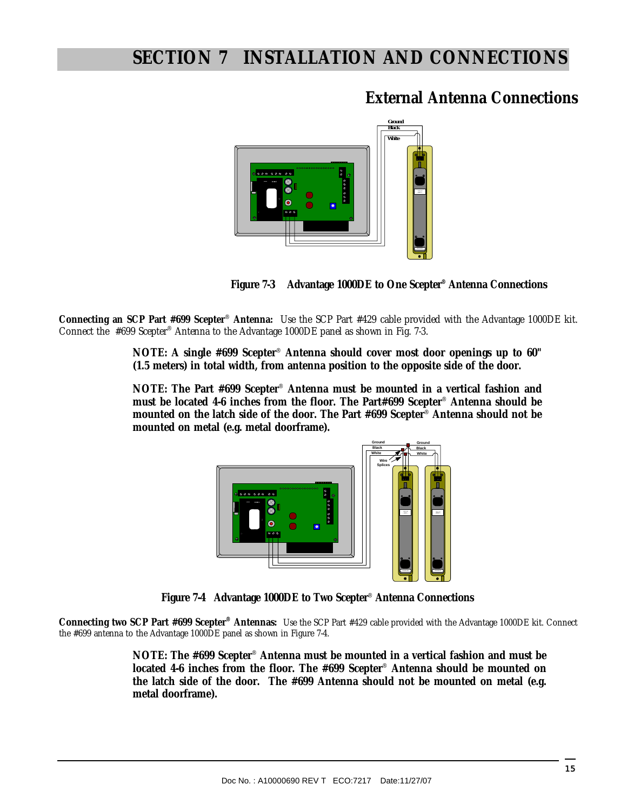### **External Antenna Connections**





**Connecting an SCP Part #699 Scepter**® **Antenna:** Use the SCP Part #429 cable provided with the Advantage 1000DE kit. Connect the #699 Scepter® Antenna to the Advantage 1000DE panel as shown in Fig. 7-3.

> **NOTE: A single #699 Scepter**® **Antenna should cover most door openings up to 60" (1.5 meters) in total width, from antenna position to the opposite side of the door.**

> **NOTE: The Part #699 Scepter**® **Antenna must be mounted in a vertical fashion and must be located 4-6 inches from the floor. The Part#699 Scepter**® **Antenna should be mounted on the latch side of the door. The Part #699 Scepter**® **Antenna should not be mounted on metal (e.g. metal doorframe).**



**Figure 7-4 Advantage 1000DE to Two Scepter**® **Antenna Connections** 

**Connecting two SCP Part #699 Scepter® Antennas:** Use the SCP Part #429 cable provided with the Advantage 1000DE kit. Connect the #699 antenna to the Advantage 1000DE panel as shown in Figure 7-4.

> **NOTE: The #699 Scepter**® **Antenna must be mounted in a vertical fashion and must be located 4-6 inches from the floor. The #699 Scepter**® **Antenna should be mounted on the latch side of the door. The #699 Antenna should not be mounted on metal (e.g. metal doorframe).**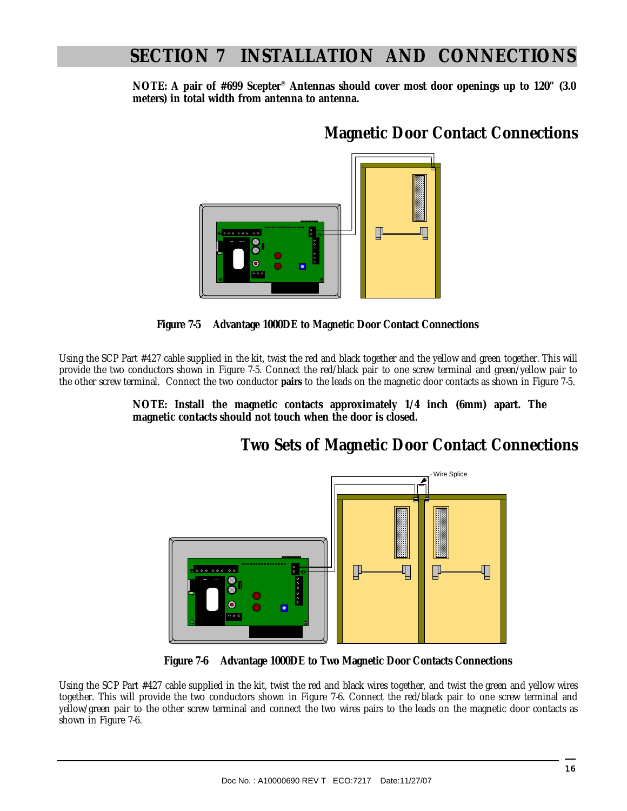**NOTE: A pair of #699 Scepter**® **Antennas should cover most door openings up to 120" (3.0 meters) in total width from antenna to antenna.** 

### **Magnetic Door Contact Connections**





Using the SCP Part #427 cable supplied in the kit, twist the red and black together and the yellow and green together. This will provide the two conductors shown in Figure 7-5. Connect the red/black pair to one screw terminal and green/yellow pair to the other screw terminal. Connect the two conductor **pairs** to the leads on the magnetic door contacts as shown in Figure 7-5.

> **NOTE: Install the magnetic contacts approximately 1/4 inch (6mm) apart. The magnetic contacts should not touch when the door is closed.**

### **Two Sets of Magnetic Door Contact Connections**



 **Figure 7-6 Advantage 1000DE to Two Magnetic Door Contacts Connections** 

Using the SCP Part #427 cable supplied in the kit, twist the red and black wires together, and twist the green and yellow wires together. This will provide the two conductors shown in Figure 7-6. Connect the red/black pair to one screw terminal and yellow/green pair to the other screw terminal and connect the two wires pairs to the leads on the magnetic door contacts as shown in Figure 7-6.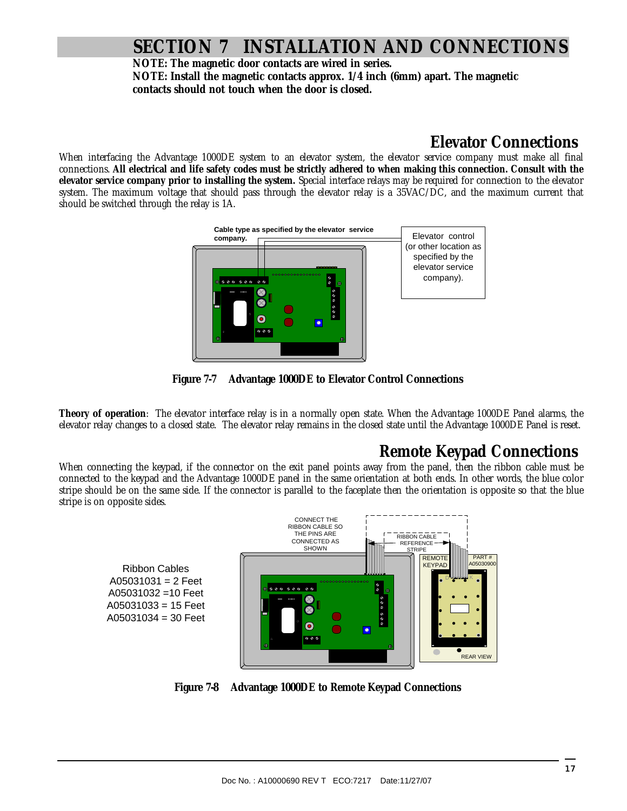**NOTE: The magnetic door contacts are wired in series. NOTE: Install the magnetic contacts approx. 1/4 inch (6mm) apart. The magnetic contacts should not touch when the door is closed.** 

### **Elevator Connections**

When interfacing the Advantage 1000DE system to an elevator system, the elevator service company must make all final connections. **All electrical and life safety codes must be strictly adhered to when making this connection. Consult with the elevator service company prior to installing the system.** Special interface relays may be required for connection to the elevator system. The maximum voltage that should pass through the elevator relay is a 35VAC/DC, and the maximum current that should be switched through the relay is 1A.



**Figure 7-7 Advantage 1000DE to Elevator Control Connections** 

**Theory of operation**: The elevator interface relay is in a normally open state. When the Advantage 1000DE Panel alarms, the elevator relay changes to a closed state. The elevator relay remains in the closed state until the Advantage 1000DE Panel is reset.

### **Remote Keypad Connections**

When connecting the keypad, if the connector on the exit panel points away from the panel, then the ribbon cable must be connected to the keypad and the Advantage 1000DE panel in the same orientation at both ends. In other words, the blue color stripe should be on the same side. If the connector is parallel to the faceplate then the orientation is opposite so that the blue stripe is on opposite sides.

Ribbon Cables  $A05031031 = 2$  Feet A05031032 =10 Feet A05031033 = 15 Feet A05031034 = 30 Feet



**Figure 7-8 Advantage 1000DE to Remote Keypad Connections**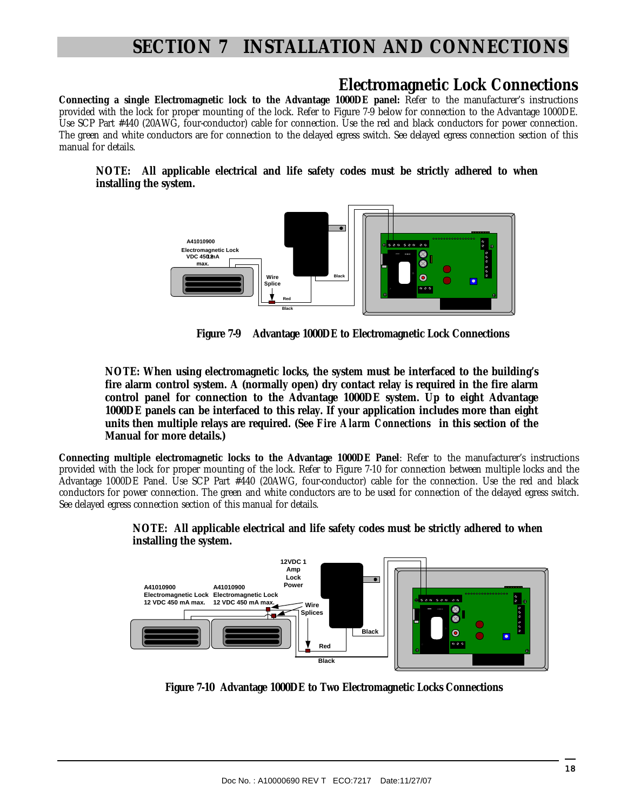### **Electromagnetic Lock Connections**

**Connecting a single Electromagnetic lock to the Advantage 1000DE panel:** Refer to the manufacturer's instructions provided with the lock for proper mounting of the lock. Refer to Figure 7-9 below for connection to the Advantage 1000DE. Use SCP Part #440 (20AWG, four-conductor) cable for connection. Use the red and black conductors for power connection. The green and white conductors are for connection to the delayed egress switch. See delayed egress connection section of this manual for details.

#### **NOTE: All applicable electrical and life safety codes must be strictly adhered to when installing the system.**



 **Figure 7-9 Advantage 1000DE to Electromagnetic Lock Connections** 

**NOTE: When using electromagnetic locks, the system must be interfaced to the building's fire alarm control system. A (normally open) dry contact relay is required in the fire alarm control panel for connection to the Advantage 1000DE system. Up to eight Advantage 1000DE panels can be interfaced to this relay. If your application includes more than eight units then multiple relays are required. (See** *Fire Alarm Connections* **in this section of the Manual for more details.)** 

**Connecting multiple electromagnetic locks to the Advantage 1000DE Panel**: Refer to the manufacturer's instructions provided with the lock for proper mounting of the lock. Refer to Figure 7-10 for connection between multiple locks and the Advantage 1000DE Panel. Use SCP Part #440 (20AWG, four-conductor) cable for the connection. Use the red and black conductors for power connection. The green and white conductors are to be used for connection of the delayed egress switch. See delayed egress connection section of this manual for details.



**NOTE: All applicable electrical and life safety codes must be strictly adhered to when installing the system.** 

 **Figure 7-10 Advantage 1000DE to Two Electromagnetic Locks Connections**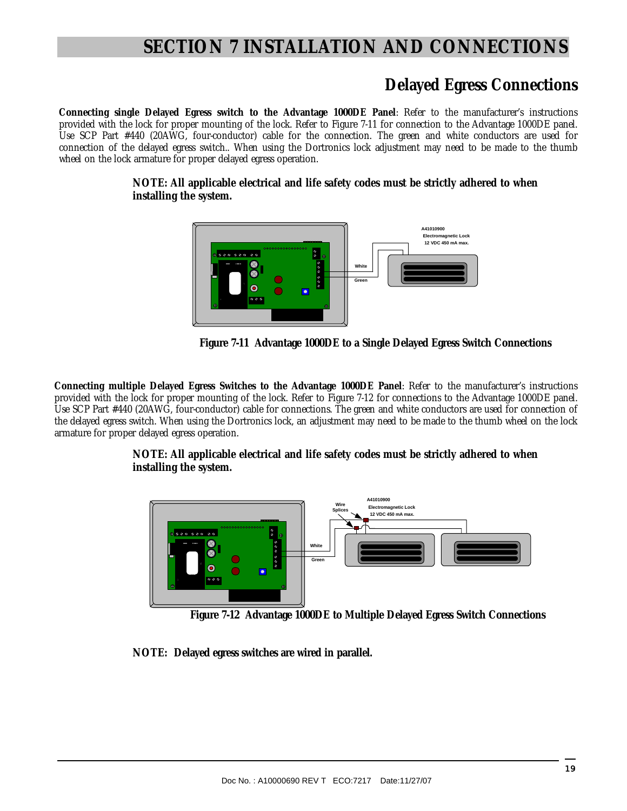### **Delayed Egress Connections**

**Connecting single Delayed Egress switch to the Advantage 1000DE Panel**: Refer to the manufacturer's instructions provided with the lock for proper mounting of the lock. Refer to Figure 7-11 for connection to the Advantage 1000DE panel. Use SCP Part #440 (20AWG, four-conductor) cable for the connection. The green and white conductors are used for connection of the delayed egress switch.. When using the Dortronics lock adjustment may need to be made to the thumb wheel on the lock armature for proper delayed egress operation.

> **NOTE: All applicable electrical and life safety codes must be strictly adhered to when installing the system.**



 **Figure 7-11 Advantage 1000DE to a Single Delayed Egress Switch Connections** 

**Connecting multiple Delayed Egress Switches to the Advantage 1000DE Panel**: Refer to the manufacturer's instructions provided with the lock for proper mounting of the lock. Refer to Figure 7-12 for connections to the Advantage 1000DE panel. Use SCP Part #440 (20AWG, four-conductor) cable for connections. The green and white conductors are used for connection of the delayed egress switch. When using the Dortronics lock, an adjustment may need to be made to the thumb wheel on the lock armature for proper delayed egress operation.

#### **NOTE: All applicable electrical and life safety codes must be strictly adhered to when installing the system.**



 **Figure 7-12 Advantage 1000DE to Multiple Delayed Egress Switch Connections** 

**NOTE: Delayed egress switches are wired in parallel.**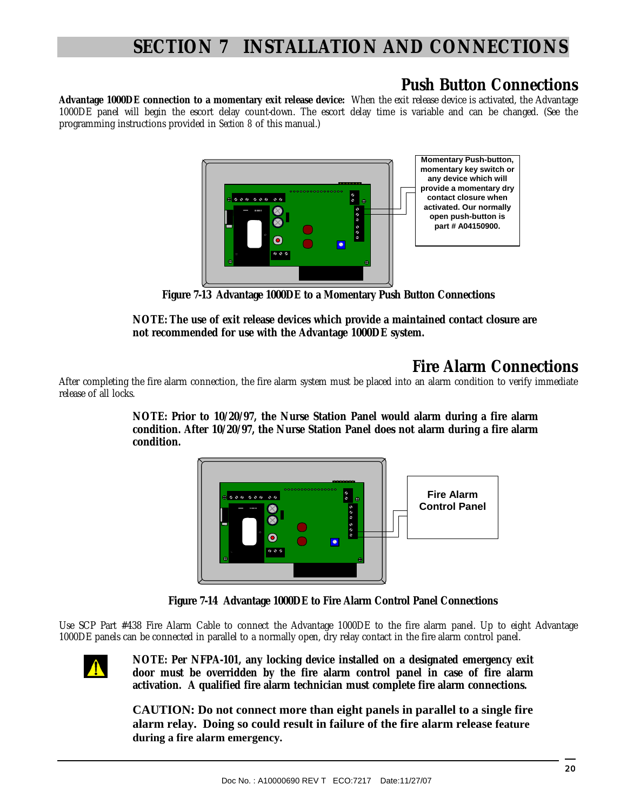### **Push Button Connections**

**Advantage 1000DE connection to a momentary exit release device:** When the exit release device is activated, the Advantage 1000DE panel will begin the escort delay count-down. The escort delay time is variable and can be changed. (See the programming instructions provided in *Section 8* of this manual.)



 **Figure 7-13 Advantage 1000DE to a Momentary Push Button Connections**

**NOTE: The use of exit release devices which provide a maintained contact closure are not recommended for use with the Advantage 1000DE system.** 

### **Fire Alarm Connections**

After completing the fire alarm connection, the fire alarm system must be placed into an alarm condition to verify immediate release of all locks.

> **NOTE: Prior to 10/20/97, the Nurse Station Panel would alarm during a fire alarm condition. After 10/20/97, the Nurse Station Panel does not alarm during a fire alarm condition.**



 **Figure 7-14 Advantage 1000DE to Fire Alarm Control Panel Connections**

Use SCP Part #438 Fire Alarm Cable to connect the Advantage 1000DE to the fire alarm panel. Up to eight Advantage 1000DE panels can be connected in parallel to a normally open, dry relay contact in the fire alarm control panel.



**NOTE: Per NFPA-101, any locking device installed on a designated emergency exit door must be overridden by the fire alarm control panel in case of fire alarm activation. A qualified fire alarm technician must complete fire alarm connections.** 

**CAUTION: Do not connect more than eight panels in parallel to a single fire alarm relay. Doing so could result in failure of the fire alarm release feature during a fire alarm emergency.**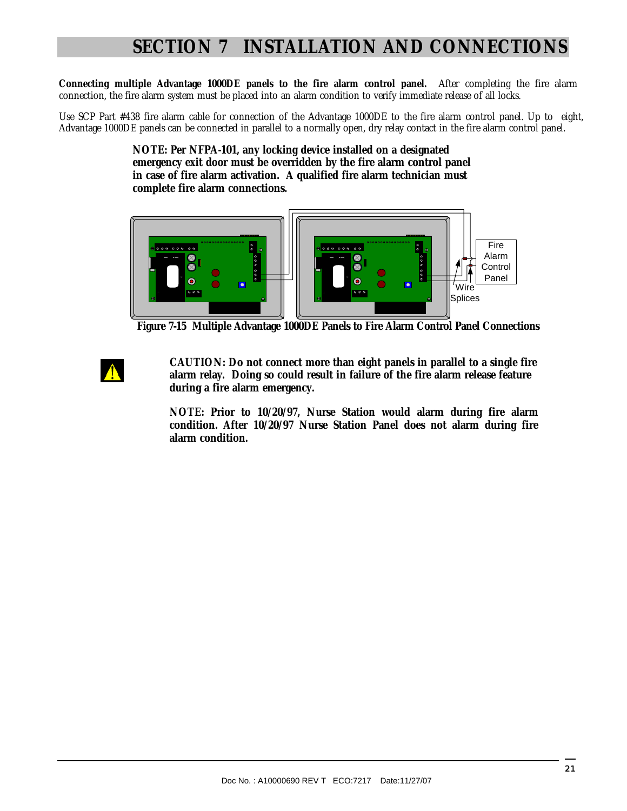**Connecting multiple Advantage 1000DE panels to the fire alarm control panel.** After completing the fire alarm connection, the fire alarm system must be placed into an alarm condition to verify immediate release of all locks.

Use SCP Part #438 fire alarm cable for connection of the Advantage 1000DE to the fire alarm control panel. Up to eight, Advantage 1000DE panels can be connected in parallel to a normally open, dry relay contact in the fire alarm control panel.

> **NOTE: Per NFPA-101, any locking device installed on a designated emergency exit door must be overridden by the fire alarm control panel in case of fire alarm activation. A qualified fire alarm technician must complete fire alarm connections.**



 **Figure 7-15 Multiple Advantage 1000DE Panels to Fire Alarm Control Panel Connections** 

 **CAUTION: Do not connect more than eight panels in parallel to a single fire alarm relay. Doing so could result in failure of the fire alarm release feature during a fire alarm emergency.** 

**NOTE: Prior to 10/20/97, Nurse Station would alarm during fire alarm condition. After 10/20/97 Nurse Station Panel does not alarm during fire alarm condition.**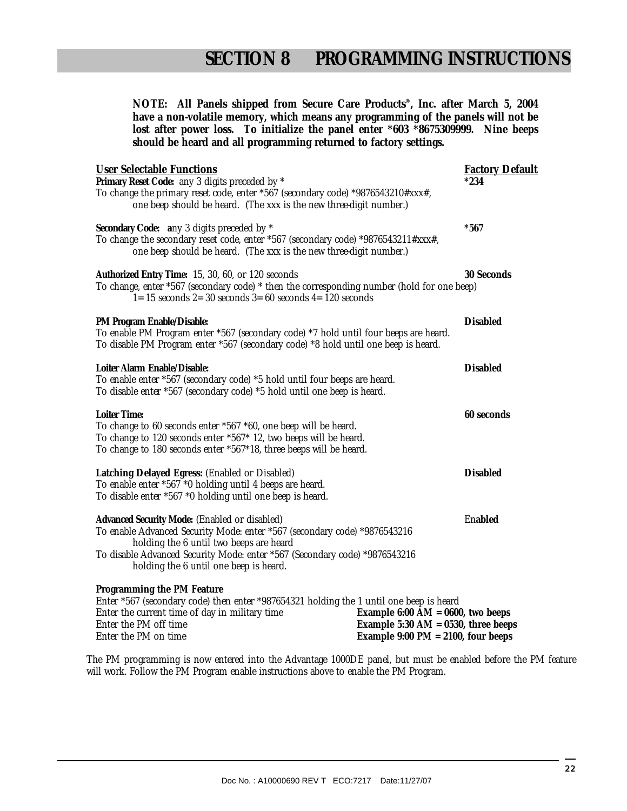**NOTE: All Panels shipped from Secure Care Products®, Inc. after March 5, 2004**  have a non-volatile memory, which means any programming of the panels will not be **lost after power loss. To initialize the panel enter \*603 \*8675309999. Nine beeps should be heard and all programming returned to factory settings.** 

| <b>User Selectable Functions</b><br>Primary Reset Code: any 3 digits preceded by *<br>To change the primary reset code, enter *567 (secondary code) *9876543210#xxx#,<br>one beep should be heard. (The xxx is the new three-digit number.)                                                   |                                                                                                                         | <b>Factory Default</b><br>*234 |
|-----------------------------------------------------------------------------------------------------------------------------------------------------------------------------------------------------------------------------------------------------------------------------------------------|-------------------------------------------------------------------------------------------------------------------------|--------------------------------|
| Secondary Code: any 3 digits preceded by *<br>To change the secondary reset code, enter *567 (secondary code) *9876543211#xxx#,<br>one beep should be heard. (The xxx is the new three-digit number.)                                                                                         |                                                                                                                         | $*567$                         |
| Authorized Entry Time: 15, 30, 60, or 120 seconds<br>To change, enter *567 (secondary code) * then the corresponding number (hold for one beep)<br>$1=15$ seconds $2=30$ seconds $3=60$ seconds $4=120$ seconds                                                                               |                                                                                                                         | 30 Seconds                     |
| PM Program Enable/Disable:<br>To enable PM Program enter *567 (secondary code) *7 hold until four beeps are heard.<br>To disable PM Program enter *567 (secondary code) *8 hold until one beep is heard.                                                                                      |                                                                                                                         | <b>Disabled</b>                |
| Loiter Alarm Enable/Disable:<br>To enable enter *567 (secondary code) *5 hold until four beeps are heard.<br>To disable enter *567 (secondary code) *5 hold until one beep is heard.                                                                                                          |                                                                                                                         | <b>Disabled</b>                |
| Loiter Time:<br>To change to 60 seconds enter *567 *60, one beep will be heard.<br>To change to 120 seconds enter *567* 12, two beeps will be heard.<br>To change to 180 seconds enter *567*18, three beeps will be heard.                                                                    |                                                                                                                         | 60 seconds                     |
| Latching Delayed Egress: (Enabled or Disabled)<br>To enable enter *567 *0 holding until 4 beeps are heard.<br>To disable enter *567 *0 holding until one beep is heard.                                                                                                                       |                                                                                                                         | <b>Disabled</b>                |
| Advanced Security Mode: (Enabled or disabled)<br>To enable Advanced Security Mode: enter *567 (secondary code) *9876543216<br>holding the 6 until two beeps are heard<br>To disable Advanced Security Mode: enter *567 (Secondary code) *9876543216<br>holding the 6 until one beep is heard. |                                                                                                                         | Enabled                        |
| Programming the PM Feature<br>Enter *567 (secondary code) then enter *987654321 holding the 1 until one beep is heard<br>Enter the current time of day in military time<br>Enter the PM off time<br>Enter the PM on time                                                                      | Example 6:00 AM = $0600$ , two beeps<br>Example 5:30 AM = $0530$ , three beeps<br>Example 9:00 PM = $2100$ , four beeps |                                |

The PM programming is now entered into the Advantage 1000DE panel, but must be enabled before the PM feature will work. Follow the PM Program enable instructions above to enable the PM Program.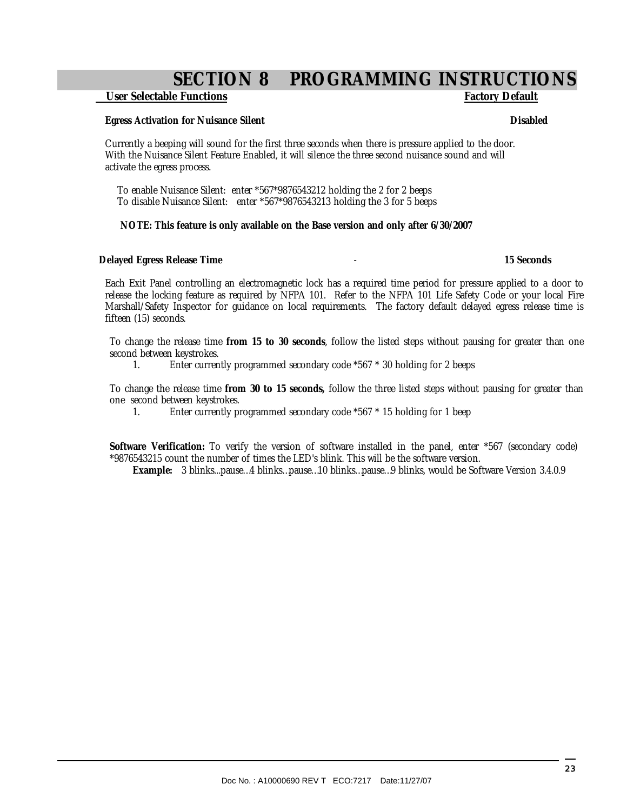### **SECTION 8 PROGRAMMING INSTRUCTIONS**

#### **User Selectable Functions Factory Default**

#### **Egress Activation for Nuisance Silent Disabled** Disabled

Currently a beeping will sound for the first three seconds when there is pressure applied to the door. With the Nuisance Silent Feature Enabled, it will silence the three second nuisance sound and will activate the egress process.

 To enable Nuisance Silent: enter \*567\*9876543212 holding the 2 for 2 beeps To disable Nuisance Silent: enter \*567\*9876543213 holding the 3 for 5 beeps

#### **NOTE: This feature is only available on the Base version and only after 6/30/2007**

#### **Delayed Egress Release Time** - **15 Seconds**

Each Exit Panel controlling an electromagnetic lock has a required time period for pressure applied to a door to release the locking feature as required by NFPA 101. Refer to the NFPA 101 Life Safety Code or your local Fire Marshall/Safety Inspector for guidance on local requirements. The factory default delayed egress release time is fifteen (15) seconds.

To change the release time **from 15 to 30 seconds**, follow the listed steps without pausing for greater than one second between keystrokes.

1. Enter currently programmed secondary code \*567 \* 30 holding for 2 beeps

To change the release time **from 30 to 15 seconds,** follow the three listed steps without pausing for greater than one second between keystrokes.

1. Enter currently programmed secondary code \*567 \* 15 holding for 1 beep

**Software Verification:** To verify the version of software installed in the panel, enter \*567 (secondary code) \*9876543215 count the number of times the LED's blink. This will be the software version.

**Example:** 3 blinks...pause…4 blinks…pause…10 blinks…pause…9 blinks, would be Software Version 3.4.0.9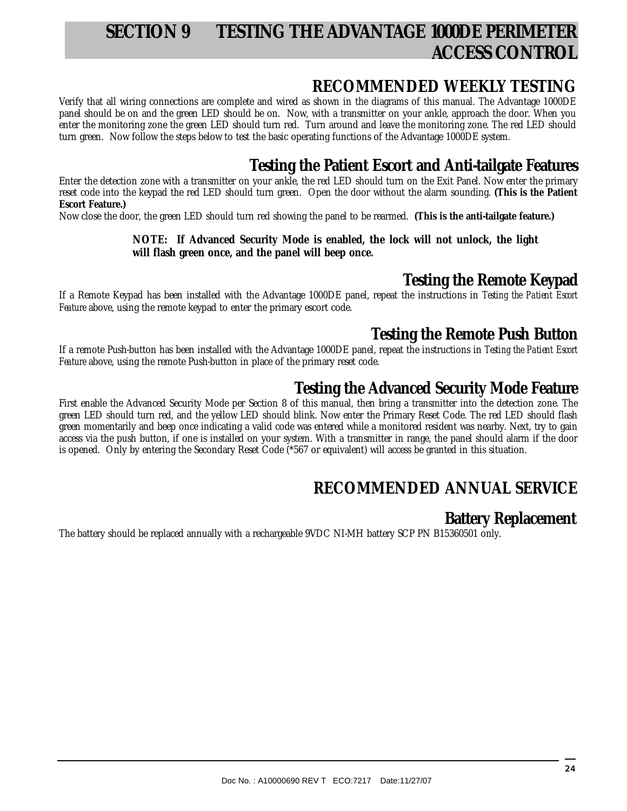### **SECTION 9 TESTING THE ADVANTAGE 1000DE PERIMETER ACCESS CONTROL**

### **RECOMMENDED WEEKLY TESTING**

Verify that all wiring connections are complete and wired as shown in the diagrams of this manual. The Advantage 1000DE panel should be on and the green LED should be on. Now, with a transmitter on your ankle, approach the door. When you enter the monitoring zone the green LED should turn red. Turn around and leave the monitoring zone. The red LED should turn green. Now follow the steps below to test the basic operating functions of the Advantage 1000DE system.

### **Testing the Patient Escort and Anti-tailgate Features**

Enter the detection zone with a transmitter on your ankle, the red LED should turn on the Exit Panel. Now enter the primary reset code into the keypad the red LED should turn green. Open the door without the alarm sounding. **(This is the Patient Escort Feature.)** 

Now close the door, the green LED should turn red showing the panel to be rearmed. **(This is the anti-tailgate feature.)** 

#### **NOTE: If Advanced Security Mode is enabled, the lock will not unlock, the light will flash green once, and the panel will beep once.**

### **Testing the Remote Keypad**

If a Remote Keypad has been installed with the Advantage 1000DE panel, repeat the instructions in *Testing the Patient Escort Feature* above, using the remote keypad to enter the primary escort code.

### **Testing the Remote Push Button**

If a remote Push-button has been installed with the Advantage 1000DE panel, repeat the instructions in *Testing the Patient Escort Feature* above, using the remote Push-button in place of the primary reset code.

### **Testing the Advanced Security Mode Feature**

First enable the Advanced Security Mode per Section 8 of this manual, then bring a transmitter into the detection zone. The green LED should turn red, and the yellow LED should blink. Now enter the Primary Reset Code. The red LED should flash green momentarily and beep once indicating a valid code was entered while a monitored resident was nearby. Next, try to gain access via the push button, if one is installed on your system. With a transmitter in range, the panel should alarm if the door is opened. Only by entering the Secondary Reset Code (\*567 or equivalent) will access be granted in this situation.

### **RECOMMENDED ANNUAL SERVICE**

### **Battery Replacement**

The battery should be replaced annually with a rechargeable 9VDC NI-MH battery SCP PN B15360501 only.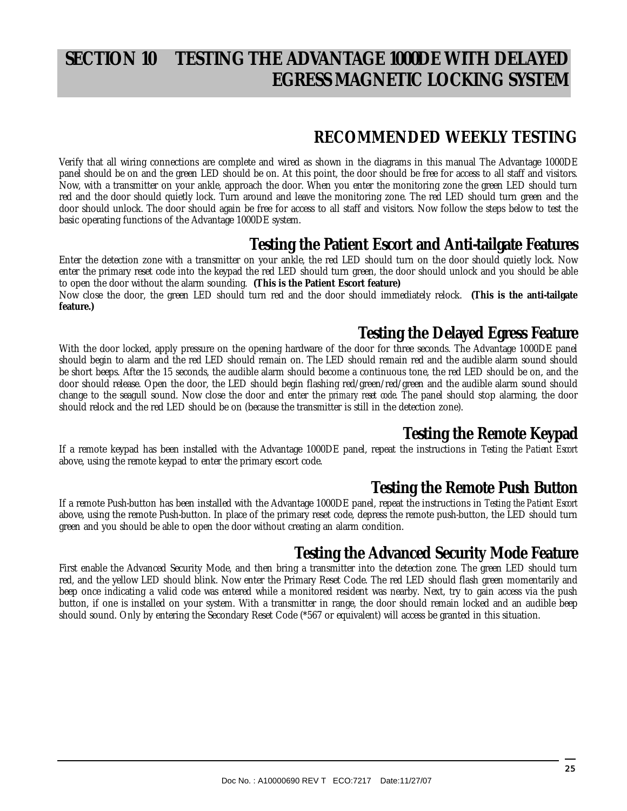### **SECTION 10 TESTING THE ADVANTAGE 1000DE WITH DELAYED EGRESS MAGNETIC LOCKING SYSTEM**

### **RECOMMENDED WEEKLY TESTING**

Verify that all wiring connections are complete and wired as shown in the diagrams in this manual The Advantage 1000DE panel should be on and the green LED should be on. At this point, the door should be free for access to all staff and visitors. Now, with a transmitter on your ankle, approach the door. When you enter the monitoring zone the green LED should turn red and the door should quietly lock. Turn around and leave the monitoring zone. The red LED should turn green and the door should unlock. The door should again be free for access to all staff and visitors. Now follow the steps below to test the basic operating functions of the Advantage 1000DE system.

### **Testing the Patient Escort and Anti-tailgate Features**

Enter the detection zone with a transmitter on your ankle, the red LED should turn on the door should quietly lock. Now enter the primary reset code into the keypad the red LED should turn green, the door should unlock and you should be able to open the door without the alarm sounding. **(This is the Patient Escort feature)**  Now close the door, the green LED should turn red and the door should immediately relock. **(This is the anti-tailgate feature.)**

### **Testing the Delayed Egress Feature**

With the door locked, apply pressure on the opening hardware of the door for three seconds. The Advantage 1000DE panel should begin to alarm and the red LED should remain on. The LED should remain red and the audible alarm sound should be short beeps. After the 15 seconds, the audible alarm should become a continuous tone, the red LED should be on, and the door should release. Open the door, the LED should begin flashing red/green/red/green and the audible alarm sound should change to the seagull sound. Now close the door and enter the *primary reset code*. The panel should stop alarming, the door should relock and the red LED should be on (because the transmitter is still in the detection zone).

### **Testing the Remote Keypad**

If a remote keypad has been installed with the Advantage 1000DE panel, repeat the instructions in *Testing the Patient Escort*  above, using the remote keypad to enter the primary escort code.

### **Testing the Remote Push Button**

If a remote Push-button has been installed with the Advantage 1000DE panel, repeat the instructions in *Testing the Patient Escort*  above, using the remote Push-button. In place of the primary reset code, depress the remote push-button, the LED should turn green and you should be able to open the door without creating an alarm condition.

### **Testing the Advanced Security Mode Feature**

First enable the Advanced Security Mode, and then bring a transmitter into the detection zone. The green LED should turn red, and the yellow LED should blink. Now enter the Primary Reset Code. The red LED should flash green momentarily and beep once indicating a valid code was entered while a monitored resident was nearby. Next, try to gain access via the push button, if one is installed on your system. With a transmitter in range, the door should remain locked and an audible beep should sound. Only by entering the Secondary Reset Code (\*567 or equivalent) will access be granted in this situation.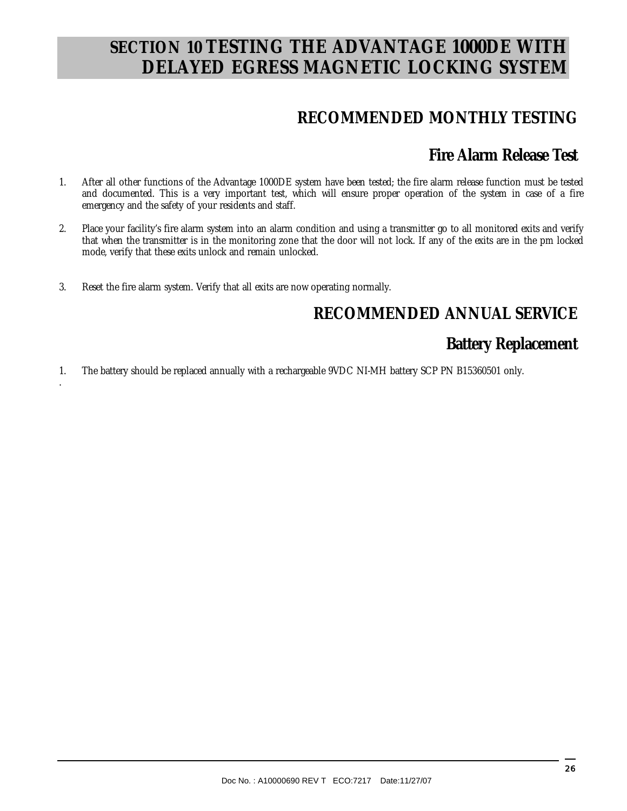### **SECTION 10 TESTING THE ADVANTAGE 1000DE WITH DELAYED EGRESS MAGNETIC LOCKING SYSTEM**

### **RECOMMENDED MONTHLY TESTING**

### **Fire Alarm Release Test**

- 1. After all other functions of the Advantage 1000DE system have been tested; the fire alarm release function must be tested and documented. This is a very important test, which will ensure proper operation of the system in case of a fire emergency and the safety of your residents and staff.
- 2. Place your facility's fire alarm system into an alarm condition and using a transmitter go to all monitored exits and verify that when the transmitter is in the monitoring zone that the door will not lock. If any of the exits are in the pm locked mode, verify that these exits unlock and remain unlocked.
- 3. Reset the fire alarm system. Verify that all exits are now operating normally.

.

### **RECOMMENDED ANNUAL SERVICE**

### **Battery Replacement**

1. The battery should be replaced annually with a rechargeable 9VDC NI-MH battery SCP PN B15360501 only.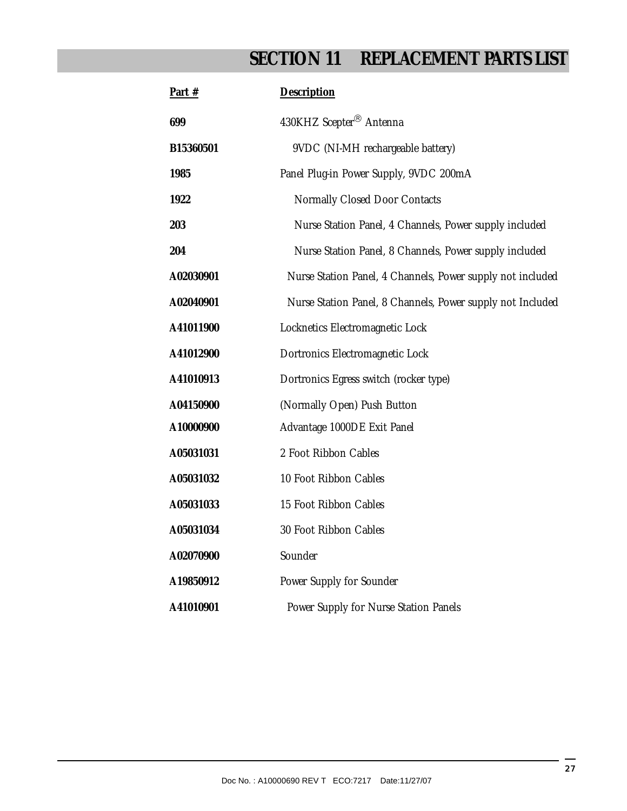## **SECTION 11 REPLACEMENT PARTS LIST**

| Part #    | Description                                                |
|-----------|------------------------------------------------------------|
| 699       | 430KHZ Scepter <sup>®</sup> Antenna                        |
| B15360501 | 9VDC (NI-MH rechargeable battery)                          |
| 1985      | Panel Plug-in Power Supply, 9VDC 200mA                     |
| 1922      | Normally Closed Door Contacts                              |
| 203       | Nurse Station Panel, 4 Channels, Power supply included     |
| 204       | Nurse Station Panel, 8 Channels, Power supply included     |
| A02030901 | Nurse Station Panel, 4 Channels, Power supply not included |
| A02040901 | Nurse Station Panel, 8 Channels, Power supply not Included |
| A41011900 | Locknetics Electromagnetic Lock                            |
| A41012900 | Dortronics Electromagnetic Lock                            |
| A41010913 | Dortronics Egress switch (rocker type)                     |
| A04150900 | (Normally Open) Push Button                                |
| A10000900 | Advantage 1000DE Exit Panel                                |
| A05031031 | 2 Foot Ribbon Cables                                       |
| A05031032 | 10 Foot Ribbon Cables                                      |
| A05031033 | 15 Foot Ribbon Cables                                      |
| A05031034 | 30 Foot Ribbon Cables                                      |
| A02070900 | Sounder                                                    |
| A19850912 | Power Supply for Sounder                                   |
| A41010901 | Power Supply for Nurse Station Panels                      |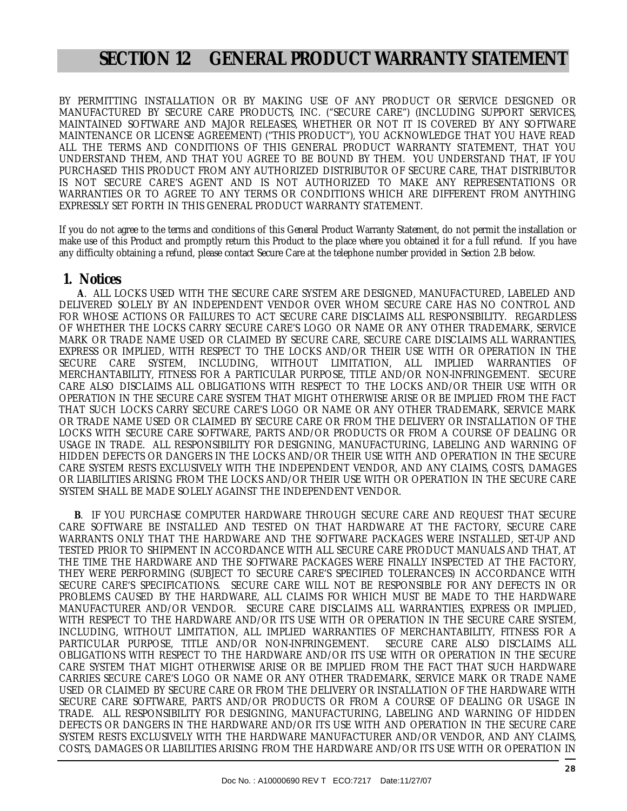### **SECTION 12 GENERAL PRODUCT WARRANTY STATEMENT**

BY PERMITTING INSTALLATION OR BY MAKING USE OF ANY PRODUCT OR SERVICE DESIGNED OR MANUFACTURED BY SECURE CARE PRODUCTS, INC. ("SECURE CARE") (INCLUDING SUPPORT SERVICES, MAINTAINED SOFTWARE AND MAJOR RELEASES, WHETHER OR NOT IT IS COVERED BY ANY SOFTWARE MAINTENANCE OR LICENSE AGREEMENT) ("THIS PRODUCT"), YOU ACKNOWLEDGE THAT YOU HAVE READ ALL THE TERMS AND CONDITIONS OF THIS GENERAL PRODUCT WARRANTY STATEMENT, THAT YOU UNDERSTAND THEM, AND THAT YOU AGREE TO BE BOUND BY THEM. YOU UNDERSTAND THAT, IF YOU PURCHASED THIS PRODUCT FROM ANY AUTHORIZED DISTRIBUTOR OF SECURE CARE, THAT DISTRIBUTOR IS NOT SECURE CARE'S AGENT AND IS NOT AUTHORIZED TO MAKE ANY REPRESENTATIONS OR WARRANTIES OR TO AGREE TO ANY TERMS OR CONDITIONS WHICH ARE DIFFERENT FROM ANYTHING EXPRESSLY SET FORTH IN THIS GENERAL PRODUCT WARRANTY STATEMENT.

If you do not agree to the terms and conditions of this General Product Warranty Statement, do not permit the installation or make use of this Product and promptly return this Product to the place where you obtained it for a full refund. If you have any difficulty obtaining a refund, please contact Secure Care at the telephone number provided in Section 2.B below.

#### **1. Notices**

 **A**. ALL LOCKS USED WITH THE SECURE CARE SYSTEM ARE DESIGNED, MANUFACTURED, LABELED AND DELIVERED SOLELY BY AN INDEPENDENT VENDOR OVER WHOM SECURE CARE HAS NO CONTROL AND FOR WHOSE ACTIONS OR FAILURES TO ACT SECURE CARE DISCLAIMS ALL RESPONSIBILITY. REGARDLESS OF WHETHER THE LOCKS CARRY SECURE CARE'S LOGO OR NAME OR ANY OTHER TRADEMARK, SERVICE MARK OR TRADE NAME USED OR CLAIMED BY SECURE CARE, SECURE CARE DISCLAIMS ALL WARRANTIES, EXPRESS OR IMPLIED, WITH RESPECT TO THE LOCKS AND/OR THEIR USE WITH OR OPERATION IN THE SECURE CARE SYSTEM, INCLUDING, WITHOUT LIMITATION, ALL IMPLIED WARRANTIES OF MERCHANTABILITY, FITNESS FOR A PARTICULAR PURPOSE, TITLE AND/OR NON-INFRINGEMENT. SECURE CARE ALSO DISCLAIMS ALL OBLIGATIONS WITH RESPECT TO THE LOCKS AND/OR THEIR USE WITH OR OPERATION IN THE SECURE CARE SYSTEM THAT MIGHT OTHERWISE ARISE OR BE IMPLIED FROM THE FACT THAT SUCH LOCKS CARRY SECURE CARE'S LOGO OR NAME OR ANY OTHER TRADEMARK, SERVICE MARK OR TRADE NAME USED OR CLAIMED BY SECURE CARE OR FROM THE DELIVERY OR INSTALLATION OF THE LOCKS WITH SECURE CARE SOFTWARE, PARTS AND/OR PRODUCTS OR FROM A COURSE OF DEALING OR USAGE IN TRADE. ALL RESPONSIBILITY FOR DESIGNING, MANUFACTURING, LABELING AND WARNING OF HIDDEN DEFECTS OR DANGERS IN THE LOCKS AND/OR THEIR USE WITH AND OPERATION IN THE SECURE CARE SYSTEM RESTS EXCLUSIVELY WITH THE INDEPENDENT VENDOR, AND ANY CLAIMS, COSTS, DAMAGES OR LIABILITIES ARISING FROM THE LOCKS AND/OR THEIR USE WITH OR OPERATION IN THE SECURE CARE SYSTEM SHALL BE MADE SOLELY AGAINST THE INDEPENDENT VENDOR.

 **B**. IF YOU PURCHASE COMPUTER HARDWARE THROUGH SECURE CARE AND REQUEST THAT SECURE CARE SOFTWARE BE INSTALLED AND TESTED ON THAT HARDWARE AT THE FACTORY, SECURE CARE WARRANTS ONLY THAT THE HARDWARE AND THE SOFTWARE PACKAGES WERE INSTALLED, SET-UP AND TESTED PRIOR TO SHIPMENT IN ACCORDANCE WITH ALL SECURE CARE PRODUCT MANUALS AND THAT, AT THE TIME THE HARDWARE AND THE SOFTWARE PACKAGES WERE FINALLY INSPECTED AT THE FACTORY, THEY WERE PERFORMING (SUBJECT TO SECURE CARE'S SPECIFIED TOLERANCES) IN ACCORDANCE WITH SECURE CARE'S SPECIFICATIONS. SECURE CARE WILL NOT BE RESPONSIBLE FOR ANY DEFECTS IN OR PROBLEMS CAUSED BY THE HARDWARE, ALL CLAIMS FOR WHICH MUST BE MADE TO THE HARDWARE MANUFACTURER AND/OR VENDOR. SECURE CARE DISCLAIMS ALL WARRANTIES, EXPRESS OR IMPLIED, WITH RESPECT TO THE HARDWARE AND/OR ITS USE WITH OR OPERATION IN THE SECURE CARE SYSTEM, INCLUDING, WITHOUT LIMITATION, ALL IMPLIED WARRANTIES OF MERCHANTABILITY, FITNESS FOR A PARTICULAR PURPOSE, TITLE AND/OR NON-INFRINGEMENT. SECURE CARE ALSO DISCLAIMS ALL OBLIGATIONS WITH RESPECT TO THE HARDWARE AND/OR ITS USE WITH OR OPERATION IN THE SECURE CARE SYSTEM THAT MIGHT OTHERWISE ARISE OR BE IMPLIED FROM THE FACT THAT SUCH HARDWARE CARRIES SECURE CARE'S LOGO OR NAME OR ANY OTHER TRADEMARK, SERVICE MARK OR TRADE NAME USED OR CLAIMED BY SECURE CARE OR FROM THE DELIVERY OR INSTALLATION OF THE HARDWARE WITH SECURE CARE SOFTWARE, PARTS AND/OR PRODUCTS OR FROM A COURSE OF DEALING OR USAGE IN TRADE. ALL RESPONSIBILITY FOR DESIGNING, MANUFACTURING, LABELING AND WARNING OF HIDDEN DEFECTS OR DANGERS IN THE HARDWARE AND/OR ITS USE WITH AND OPERATION IN THE SECURE CARE SYSTEM RESTS EXCLUSIVELY WITH THE HARDWARE MANUFACTURER AND/OR VENDOR, AND ANY CLAIMS, COSTS, DAMAGES OR LIABILITIES ARISING FROM THE HARDWARE AND/OR ITS USE WITH OR OPERATION IN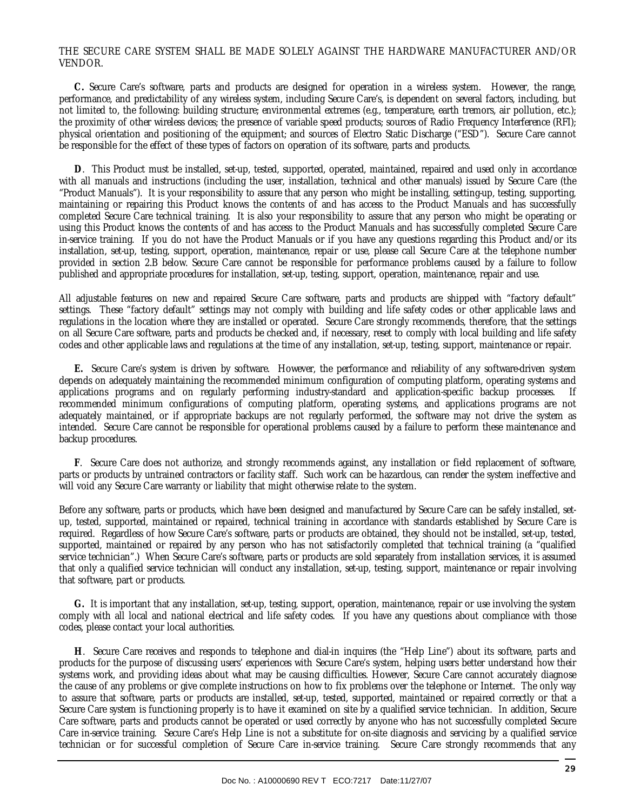#### THE SECURE CARE SYSTEM SHALL BE MADE SOLELY AGAINST THE HARDWARE MANUFACTURER AND/OR VENDOR.

 **C.** Secure Care's software, parts and products are designed for operation in a wireless system. However, the range, performance, and predictability of any wireless system, including Secure Care's, is dependent on several factors, including, but not limited to, the following: building structure; environmental extremes (e.g., temperature, earth tremors, air pollution, etc.); the proximity of other wireless devices; the presence of variable speed products; sources of Radio Frequency Interference (RFI); physical orientation and positioning of the equipment; and sources of Electro Static Discharge ("ESD"). Secure Care cannot be responsible for the effect of these types of factors on operation of its software, parts and products.

 **D**. This Product must be installed, set-up, tested, supported, operated, maintained, repaired and used only in accordance with all manuals and instructions (including the user, installation, technical and other manuals) issued by Secure Care (the "Product Manuals"). It is your responsibility to assure that any person who might be installing, setting-up, testing, supporting, maintaining or repairing this Product knows the contents of and has access to the Product Manuals and has successfully completed Secure Care technical training. It is also your responsibility to assure that any person who might be operating or using this Product knows the contents of and has access to the Product Manuals and has successfully completed Secure Care in-service training. If you do not have the Product Manuals or if you have any questions regarding this Product and/or its installation, set-up, testing, support, operation, maintenance, repair or use, please call Secure Care at the telephone number provided in section 2.B below. Secure Care cannot be responsible for performance problems caused by a failure to follow published and appropriate procedures for installation, set-up, testing, support, operation, maintenance, repair and use.

All adjustable features on new and repaired Secure Care software, parts and products are shipped with "factory default" settings. These "factory default" settings may not comply with building and life safety codes or other applicable laws and regulations in the location where they are installed or operated. Secure Care strongly recommends, therefore, that the settings on all Secure Care software, parts and products be checked and, if necessary, reset to comply with local building and life safety codes and other applicable laws and regulations at the time of any installation, set-up, testing, support, maintenance or repair.

 **E.** Secure Care's system is driven by software. However, the performance and reliability of any software-driven system depends on adequately maintaining the recommended minimum configuration of computing platform, operating systems and applications programs and on regularly performing industry-standard and application-specific backup processes. If recommended minimum configurations of computing platform, operating systems, and applications programs are not adequately maintained, or if appropriate backups are not regularly performed, the software may not drive the system as intended. Secure Care cannot be responsible for operational problems caused by a failure to perform these maintenance and backup procedures.

 **F**. Secure Care does not authorize, and strongly recommends against, any installation or field replacement of software, parts or products by untrained contractors or facility staff. Such work can be hazardous, can render the system ineffective and will void any Secure Care warranty or liability that might otherwise relate to the system.

Before any software, parts or products, which have been designed and manufactured by Secure Care can be safely installed, setup, tested, supported, maintained or repaired, technical training in accordance with standards established by Secure Care is required. Regardless of how Secure Care's software, parts or products are obtained, they should not be installed, set-up, tested, supported, maintained or repaired by any person who has not satisfactorily completed that technical training (a "qualified service technician".) When Secure Care's software, parts or products are sold separately from installation services, it is assumed that only a qualified service technician will conduct any installation, set-up, testing, support, maintenance or repair involving that software, part or products.

 **G.** It is important that any installation, set-up, testing, support, operation, maintenance, repair or use involving the system comply with all local and national electrical and life safety codes. If you have any questions about compliance with those codes, please contact your local authorities.

 **H**. Secure Care receives and responds to telephone and dial-in inquires (the "Help Line") about its software, parts and products for the purpose of discussing users' experiences with Secure Care's system, helping users better understand how their systems work, and providing ideas about what may be causing difficulties. However, Secure Care cannot accurately diagnose the cause of any problems or give complete instructions on how to fix problems over the telephone or Internet. The only way to assure that software, parts or products are installed, set-up, tested, supported, maintained or repaired correctly or that a Secure Care system is functioning properly is to have it examined on site by a qualified service technician. In addition, Secure Care software, parts and products cannot be operated or used correctly by anyone who has not successfully completed Secure Care in-service training. Secure Care's Help Line is not a substitute for on-site diagnosis and servicing by a qualified service technician or for successful completion of Secure Care in-service training. Secure Care strongly recommends that any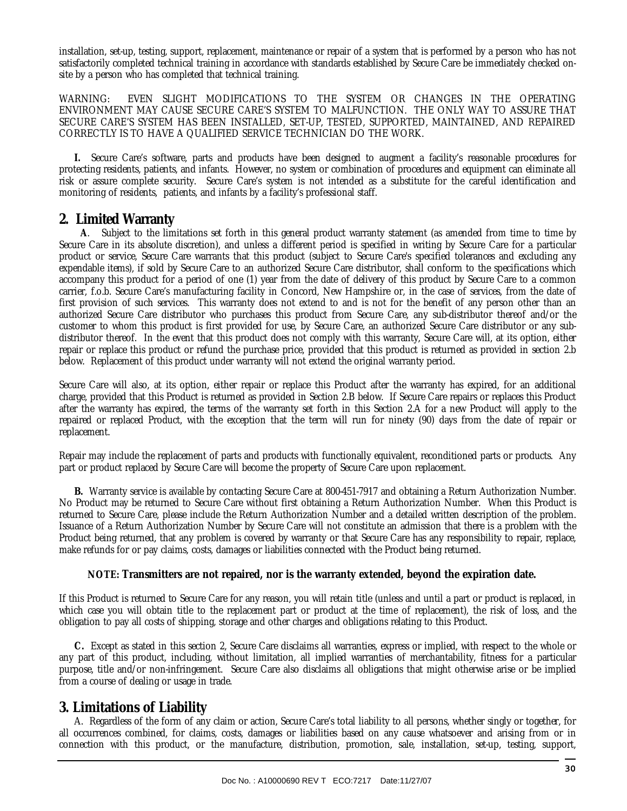installation, set-up, testing, support, replacement, maintenance or repair of a system that is performed by a person who has not satisfactorily completed technical training in accordance with standards established by Secure Care be immediately checked onsite by a person who has completed that technical training.

WARNING: EVEN SLIGHT MODIFICATIONS TO THE SYSTEM OR CHANGES IN THE OPERATING ENVIRONMENT MAY CAUSE SECURE CARE'S SYSTEM TO MALFUNCTION. THE ONLY WAY TO ASSURE THAT SECURE CARE'S SYSTEM HAS BEEN INSTALLED, SET-UP, TESTED, SUPPORTED, MAINTAINED, AND REPAIRED CORRECTLY IS TO HAVE A QUALIFIED SERVICE TECHNICIAN DO THE WORK.

 **I.** Secure Care's software, parts and products have been designed to augment a facility's reasonable procedures for protecting residents, patients, and infants. However, no system or combination of procedures and equipment can eliminate all risk or assure complete security. Secure Care's system is not intended as a substitute for the careful identification and monitoring of residents, patients, and infants by a facility's professional staff.

#### **2. Limited Warranty**

 **A**. Subject to the limitations set forth in this general product warranty statement (as amended from time to time by Secure Care in its absolute discretion), and unless a different period is specified in writing by Secure Care for a particular product or service, Secure Care warrants that this product (subject to Secure Care's specified tolerances and excluding any expendable items), if sold by Secure Care to an authorized Secure Care distributor, shall conform to the specifications which accompany this product for a period of one (1) year from the date of delivery of this product by Secure Care to a common carrier, f.o.b. Secure Care's manufacturing facility in Concord, New Hampshire or, in the case of services, from the date of first provision of such services. This warranty does not extend to and is not for the benefit of any person other than an authorized Secure Care distributor who purchases this product from Secure Care, any sub-distributor thereof and/or the customer to whom this product is first provided for use, by Secure Care, an authorized Secure Care distributor or any subdistributor thereof. In the event that this product does not comply with this warranty, Secure Care will, at its option, either repair or replace this product or refund the purchase price, provided that this product is returned as provided in section 2.b below. Replacement of this product under warranty will not extend the original warranty period.

Secure Care will also, at its option, either repair or replace this Product after the warranty has expired, for an additional charge, provided that this Product is returned as provided in Section 2.B below. If Secure Care repairs or replaces this Product after the warranty has expired, the terms of the warranty set forth in this Section 2.A for a new Product will apply to the repaired or replaced Product, with the exception that the term will run for ninety (90) days from the date of repair or replacement.

Repair may include the replacement of parts and products with functionally equivalent, reconditioned parts or products. Any part or product replaced by Secure Care will become the property of Secure Care upon replacement.

 **B.** Warranty service is available by contacting Secure Care at 800-451-7917 and obtaining a Return Authorization Number. No Product may be returned to Secure Care without first obtaining a Return Authorization Number. When this Product is returned to Secure Care, please include the Return Authorization Number and a detailed written description of the problem. Issuance of a Return Authorization Number by Secure Care will not constitute an admission that there is a problem with the Product being returned, that any problem is covered by warranty or that Secure Care has any responsibility to repair, replace, make refunds for or pay claims, costs, damages or liabilities connected with the Product being returned.

#### **NOTE: Transmitters are not repaired, nor is the warranty extended, beyond the expiration date.**

If this Product is returned to Secure Care for any reason, you will retain title (unless and until a part or product is replaced, in which case you will obtain title to the replacement part or product at the time of replacement), the risk of loss, and the obligation to pay all costs of shipping, storage and other charges and obligations relating to this Product.

 **C.** Except as stated in this section 2, Secure Care disclaims all warranties, express or implied, with respect to the whole or any part of this product, including, without limitation, all implied warranties of merchantability, fitness for a particular purpose, title and/or non-infringement. Secure Care also disclaims all obligations that might otherwise arise or be implied from a course of dealing or usage in trade.

### **3. Limitations of Liability**

 A. Regardless of the form of any claim or action, Secure Care's total liability to all persons, whether singly or together, for all occurrences combined, for claims, costs, damages or liabilities based on any cause whatsoever and arising from or in connection with this product, or the manufacture, distribution, promotion, sale, installation, set-up, testing, support,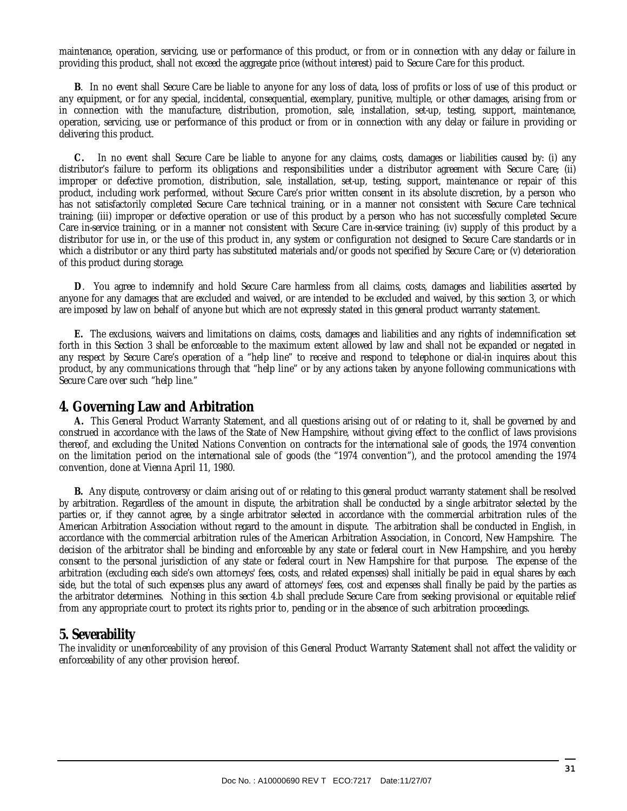maintenance, operation, servicing, use or performance of this product, or from or in connection with any delay or failure in providing this product, shall not exceed the aggregate price (without interest) paid to Secure Care for this product.

 **B**. In no event shall Secure Care be liable to anyone for any loss of data, loss of profits or loss of use of this product or any equipment, or for any special, incidental, consequential, exemplary, punitive, multiple, or other damages, arising from or in connection with the manufacture, distribution, promotion, sale, installation, set-up, testing, support, maintenance, operation, servicing, use or performance of this product or from or in connection with any delay or failure in providing or delivering this product.

 **C.** In no event shall Secure Care be liable to anyone for any claims, costs, damages or liabilities caused by: (i) any distributor's failure to perform its obligations and responsibilities under a distributor agreement with Secure Care; (ii) improper or defective promotion, distribution, sale, installation, set-up, testing, support, maintenance or repair of this product, including work performed, without Secure Care's prior written consent in its absolute discretion, by a person who has not satisfactorily completed Secure Care technical training, or in a manner not consistent with Secure Care technical training; (iii) improper or defective operation or use of this product by a person who has not successfully completed Secure Care in-service training, or in a manner not consistent with Secure Care in-service training; (iv) supply of this product by a distributor for use in, or the use of this product in, any system or configuration not designed to Secure Care standards or in which a distributor or any third party has substituted materials and/or goods not specified by Secure Care; or (v) deterioration of this product during storage.

 **D**. You agree to indemnify and hold Secure Care harmless from all claims, costs, damages and liabilities asserted by anyone for any damages that are excluded and waived, or are intended to be excluded and waived, by this section 3, or which are imposed by law on behalf of anyone but which are not expressly stated in this general product warranty statement.

 **E.** The exclusions, waivers and limitations on claims, costs, damages and liabilities and any rights of indemnification set forth in this Section 3 shall be enforceable to the maximum extent allowed by law and shall not be expanded or negated in any respect by Secure Care's operation of a "help line" to receive and respond to telephone or dial-in inquires about this product, by any communications through that "help line" or by any actions taken by anyone following communications with Secure Care over such "help line."

#### **4. Governing Law and Arbitration**

 **A.** This General Product Warranty Statement, and all questions arising out of or relating to it, shall be governed by and construed in accordance with the laws of the State of New Hampshire, without giving effect to the conflict of laws provisions thereof, and excluding the United Nations Convention on contracts for the international sale of goods, the 1974 convention on the limitation period on the international sale of goods (the "1974 convention"), and the protocol amending the 1974 convention, done at Vienna April 11, 1980.

 **B.** Any dispute, controversy or claim arising out of or relating to this general product warranty statement shall be resolved by arbitration. Regardless of the amount in dispute, the arbitration shall be conducted by a single arbitrator selected by the parties or, if they cannot agree, by a single arbitrator selected in accordance with the commercial arbitration rules of the American Arbitration Association without regard to the amount in dispute. The arbitration shall be conducted in English, in accordance with the commercial arbitration rules of the American Arbitration Association, in Concord, New Hampshire. The decision of the arbitrator shall be binding and enforceable by any state or federal court in New Hampshire, and you hereby consent to the personal jurisdiction of any state or federal court in New Hampshire for that purpose. The expense of the arbitration (excluding each side's own attorneys' fees, costs, and related expenses) shall initially be paid in equal shares by each side, but the total of such expenses plus any award of attorneys' fees, cost and expenses shall finally be paid by the parties as the arbitrator determines. Nothing in this section 4.b shall preclude Secure Care from seeking provisional or equitable relief from any appropriate court to protect its rights prior to, pending or in the absence of such arbitration proceedings.

#### **5. Severability**

The invalidity or unenforceability of any provision of this General Product Warranty Statement shall not affect the validity or enforceability of any other provision hereof.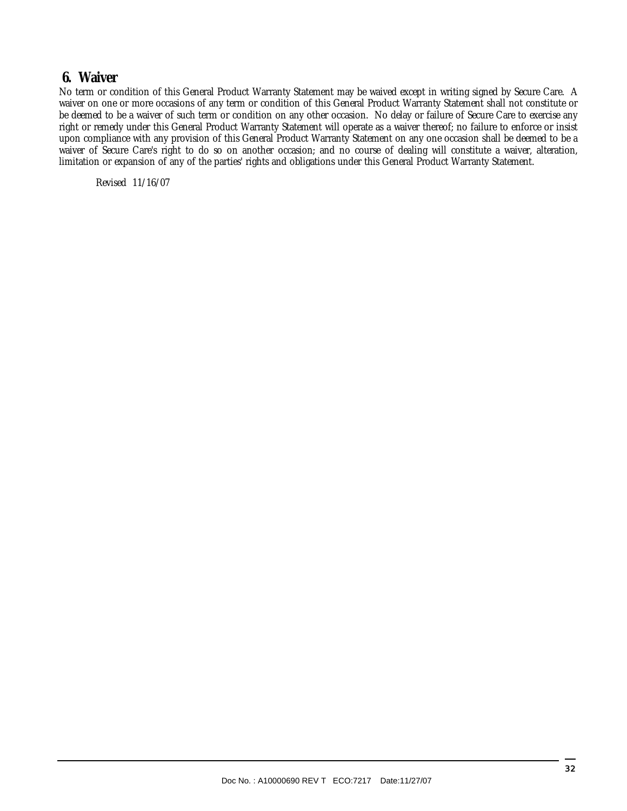### **6. Waiver**

No term or condition of this General Product Warranty Statement may be waived except in writing signed by Secure Care. A waiver on one or more occasions of any term or condition of this General Product Warranty Statement shall not constitute or be deemed to be a waiver of such term or condition on any other occasion. No delay or failure of Secure Care to exercise any right or remedy under this General Product Warranty Statement will operate as a waiver thereof; no failure to enforce or insist upon compliance with any provision of this General Product Warranty Statement on any one occasion shall be deemed to be a waiver of Secure Care's right to do so on another occasion; and no course of dealing will constitute a waiver, alteration, limitation or expansion of any of the parties' rights and obligations under this General Product Warranty Statement.

Revised 11/16/07